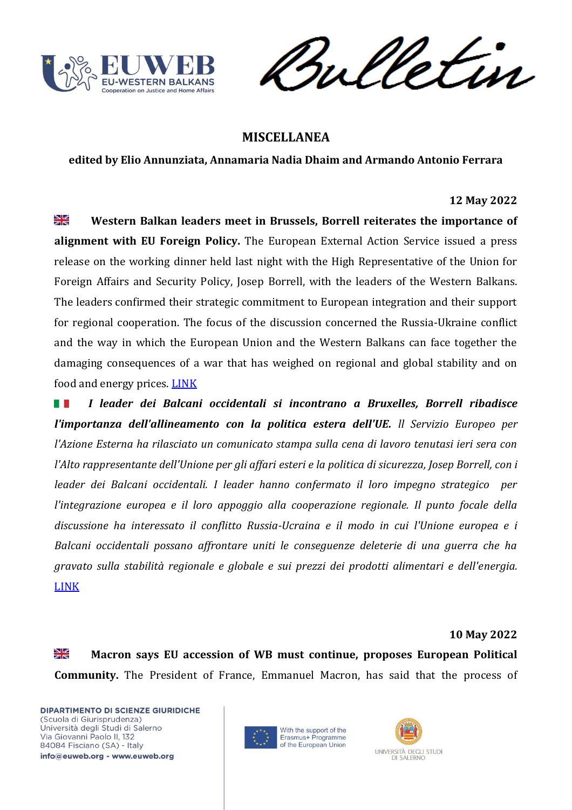

Vetin ril

# **MISCELLANEA**

**edited by Elio Annunziata, Annamaria Nadia Dhaim and Armando Antonio Ferrara**

#### **12 May 2022**

 $\frac{N}{N}$ **Western Balkan leaders meet in Brussels, Borrell reiterates the importance of alignment with EU Foreign Policy.** The European External Action Service issued a press release on the working dinner held last night with the High Representative of the Union for Foreign Affairs and Security Policy, Josep Borrell, with the leaders of the Western Balkans. The leaders confirmed their strategic commitment to European integration and their support for regional cooperation. The focus of the discussion concerned the Russia-Ukraine conflict and the way in which the European Union and the Western Balkans can face together the damaging consequences of a war that has weighed on regional and global stability and on food and energy prices. **[LINK](https://europeanwesternbalkans.com/2022/05/12/western-balkan-leaders-meet-in-brussels-borrell-reiterates-the-importance-of-alignment-with-eu-foreign-policy/)** 

*I leader dei Balcani occidentali si incontrano a Bruxelles, Borrell ribadisce*  HT. *l'importanza dell'allineamento con la politica estera dell'UE. ll Servizio Europeo per l'Azione Esterna ha rilasciato un comunicato stampa sulla cena di lavoro tenutasi ieri sera con l'Alto rappresentante dell'Unione per gli affari esteri e la politica di sicurezza, Josep Borrell, con i leader dei Balcani occidentali. I leader hanno confermato il loro impegno strategico per l'integrazione europea e il loro appoggio alla cooperazione regionale. Il punto focale della discussione ha interessato il conflitto Russia-Ucraina e il modo in cui l'Unione europea e i Balcani occidentali possano affrontare uniti le conseguenze deleterie di una guerra che ha gravato sulla stabilità regionale e globale e sui prezzi dei prodotti alimentari e dell'energia.* [LINK](https://europeanwesternbalkans.com/2022/05/12/western-balkan-leaders-meet-in-brussels-borrell-reiterates-the-importance-of-alignment-with-eu-foreign-policy/)

### **10 May 2022**

X<br>ZR **Macron says EU accession of WB must continue, proposes European Political Community.** The President of France, Emmanuel Macron, has said that the process of



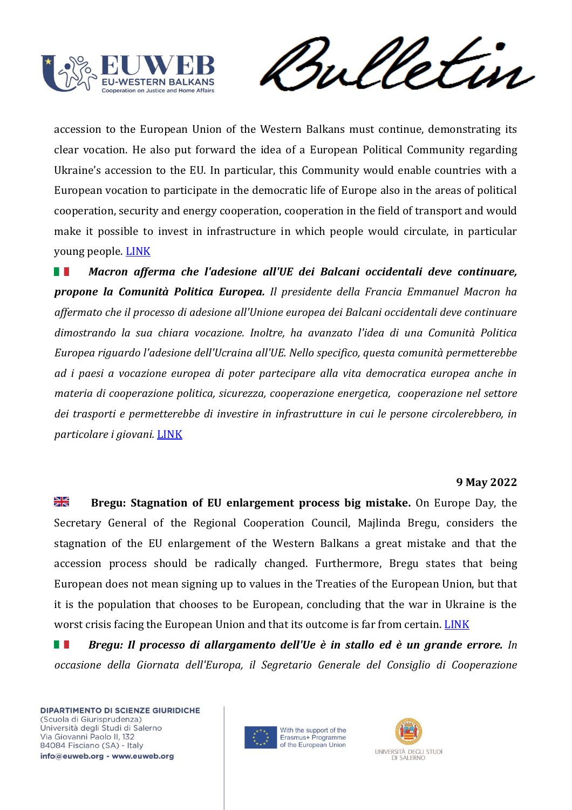

Vetur rul

accession to the European Union of the Western Balkans must continue, demonstrating its clear vocation. He also put forward the idea of a European Political Community regarding Ukraine's accession to the EU. In particular, this Community would enable countries with a European vocation to participate in the democratic life of Europe also in the areas of political cooperation, security and energy cooperation, cooperation in the field of transport and would make it possible to invest in infrastructure in which people would circulate, in particular young people. [LINK](https://europeanwesternbalkans.com/2022/05/10/macron-says-eu-accession-of-wb-must-continue-proposes-european-political-community/)

*Macron afferma che l'adesione all'UE dei Balcani occidentali deve continuare,*  **The Co** *propone la Comunità Politica Europea. Il presidente della Francia Emmanuel Macron ha affermato che il processo di adesione all'Unione europea dei Balcani occidentali deve continuare dimostrando la sua chiara vocazione. Inoltre, ha avanzato l'idea di una Comunità Politica Europea riguardo l'adesione dell'Ucraina all'UE. Nello specifico, questa comunità permetterebbe ad i paesi a vocazione europea di poter partecipare alla vita democratica europea anche in materia di cooperazione politica, sicurezza, cooperazione energetica, cooperazione nel settore dei trasporti e permetterebbe di investire in infrastrutture in cui le persone circolerebbero, in particolare i giovani.* [LINK](https://europeanwesternbalkans.com/2022/05/10/macron-says-eu-accession-of-wb-must-continue-proposes-european-political-community/)

#### **9 May 2022**

 $\frac{\sum x}{\sum x}$ **Bregu: Stagnation of EU enlargement process big mistake.** On Europe Day, the Secretary General of the Regional Cooperation Council, Majlinda Bregu, considers the stagnation of the EU enlargement of the Western Balkans a great mistake and that the accession process should be radically changed. Furthermore, Bregu states that being European does not mean signing up to values in the Treaties of the European Union, but that it is the population that chooses to be European, concluding that the war in Ukraine is the worst crisis facing the European Union and that its outcome is far from certain. [LINK](https://europeanwesternbalkans.com/2022/05/09/bregu-stagnation-of-eu-enlargement-process-big-mistake/)

*Bregu: Il processo di allargamento dell'Ue è in stallo ed è un grande errore. In*  **TELEVISION** *occasione della Giornata dell'Europa, il Segretario Generale del Consiglio di Cooperazione* 



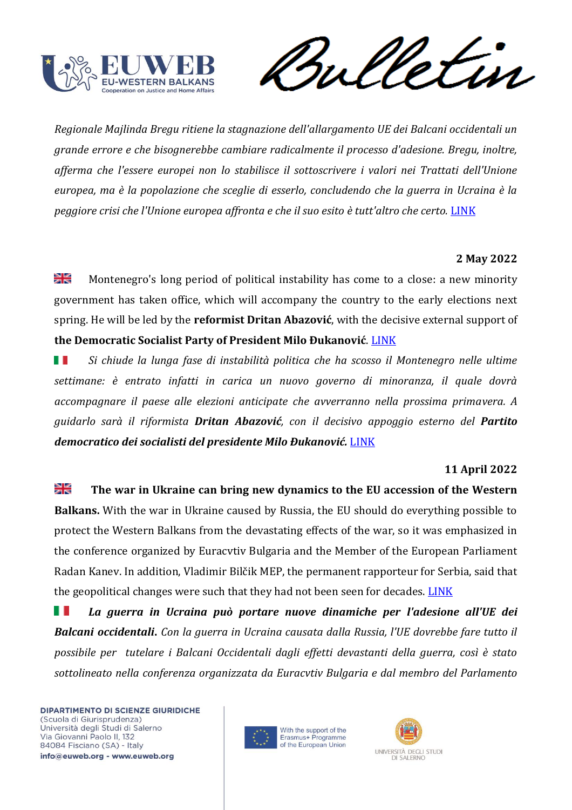

rul etin

*Regionale Majlinda Bregu ritiene la stagnazione dell'allargamento UE dei Balcani occidentali un grande errore e che bisognerebbe cambiare radicalmente il processo d'adesione. Bregu, inoltre, afferma che l'essere europei non lo stabilisce il sottoscrivere i valori nei Trattati dell'Unione europea, ma è la popolazione che sceglie di esserlo, concludendo che la guerra in Ucraina è la peggiore crisi che l'Unione europea affronta e che il suo esito è tutt'altro che certo.* [LINK](https://europeanwesternbalkans.com/2022/05/09/bregu-stagnation-of-eu-enlargement-process-big-mistake/)

## **2 May 2022**

≫l⊠ Montenegro's long period of political instability has come to a close: a new minority government has taken office, which will accompany the country to the early elections next spring. He will be led by the **reformist Dritan Abazović**, with the decisive external support of **the Democratic Socialist Party of President Milo Đukanović**. [LINK](https://www.balcanicaucaso.org/Media/Multimedia/Montenegro-parte-il-governo-Abazovic)

*Si chiude la lunga fase di instabilità politica che ha scosso il Montenegro nelle ultime*  ш *settimane: è entrato infatti in carica un nuovo governo di minoranza, il quale dovrà accompagnare il paese alle elezioni anticipate che avverranno nella prossima primavera. A guidarlo sarà il riformista Dritan Abazović, con il decisivo appoggio esterno del Partito democratico dei socialisti del presidente Milo Đukanović.* [LINK](https://www.balcanicaucaso.org/Media/Multimedia/Montenegro-parte-il-governo-Abazovic)

## **11 April 2022**

꼭 **The war in Ukraine can bring new dynamics to the EU accession of the Western Balkans.** With the war in Ukraine caused by Russia, the EU should do everything possible to protect the Western Balkans from the devastating effects of the war, so it was emphasized in the conference organized by Euracvtiv Bulgaria and the Member of the European Parliament Radan Kanev. In addition, Vladimir Bilčik MEP, the permanent rapporteur for Serbia, said that the geopolitical changes were such that they had not been seen for decades. [LINK](https://europeanwesternbalkans.com/2022/04/11/the-war-in-ukraine-can-bring-new-dynamics-to-the-eu-accession-of-the-western-balkans/)

Ш *La guerra in Ucraina può portare nuove dinamiche per l'adesione all'UE dei Balcani occidentali***.** *Con la guerra in Ucraina causata dalla Russia, l'UE dovrebbe fare tutto il possibile per tutelare i Balcani Occidentali dagli effetti devastanti della guerra, così è stato sottolineato nella conferenza organizzata da Euracvtiv Bulgaria e dal membro del Parlamento* 



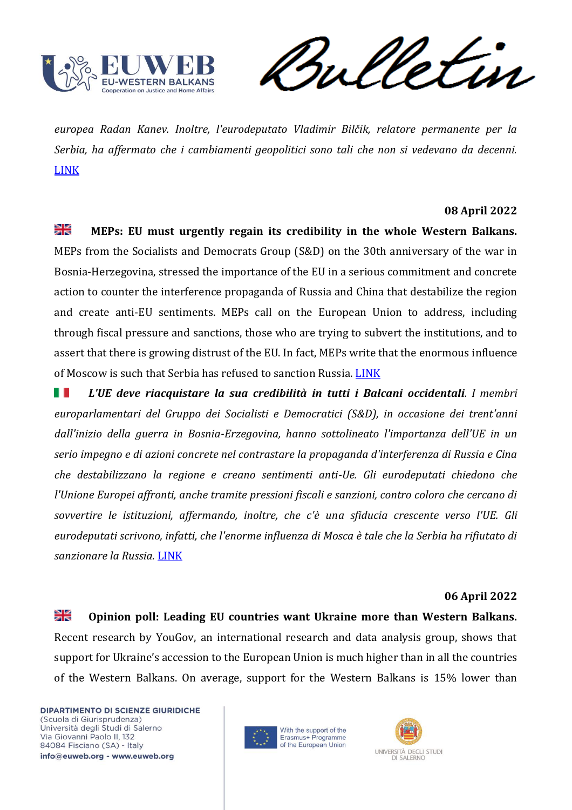

rul etin

*europea Radan Kanev. Inoltre, l'eurodeputato Vladimir Bilčik, relatore permanente per la Serbia, ha affermato che i cambiamenti geopolitici sono tali che non si vedevano da decenni.* [LINK](https://europeanwesternbalkans.com/2022/04/11/the-war-in-ukraine-can-bring-new-dynamics-to-the-eu-accession-of-the-western-balkans/)

### **08 April 2022**

꽃 **MEPs: EU must urgently regain its credibility in the whole Western Balkans.**  MEPs from the Socialists and Democrats Group (S&D) on the 30th anniversary of the war in Bosnia-Herzegovina, stressed the importance of the EU in a serious commitment and concrete action to counter the interference propaganda of Russia and China that destabilize the region and create anti-EU sentiments. MEPs call on the European Union to address, including through fiscal pressure and sanctions, those who are trying to subvert the institutions, and to assert that there is growing distrust of the EU. In fact, MEPs write that the enormous influence of Moscow is such that Serbia has refused to sanction Russia[. LINK](https://europeanwesternbalkans.com/2022/04/08/meps-eu-must-urgently-regain-its-credibility-in-the-whole-western-balkans/)

ш *L'UE deve riacquistare la sua credibilità in tutti i Balcani occidentali. I membri europarlamentari del Gruppo dei Socialisti e Democratici (S&D), in occasione dei trent'anni dall'inizio della guerra in Bosnia-Erzegovina, hanno sottolineato l'importanza dell'UE in un serio impegno e di azioni concrete nel contrastare la propaganda d'interferenza di Russia e Cina che destabilizzano la regione e creano sentimenti anti-Ue. Gli eurodeputati chiedono che l'Unione Europei affronti, anche tramite pressioni fiscali e sanzioni, contro coloro che cercano di sovvertire le istituzioni, affermando, inoltre, che c'è una sfiducia crescente verso l'UE. Gli eurodeputati scrivono, infatti, che l'enorme influenza di Mosca è tale che la Serbia ha rifiutato di sanzionare la Russia.* [LINK](https://europeanwesternbalkans.com/2022/04/08/meps-eu-must-urgently-regain-its-credibility-in-the-whole-western-balkans/)

### **06 April 2022**

≱≼ **Opinion poll: Leading EU countries want Ukraine more than Western Balkans.** Recent research by YouGov, an international research and data analysis group, shows that support for Ukraine's accession to the European Union is much higher than in all the countries of the Western Balkans. On average, support for the Western Balkans is 15% lower than



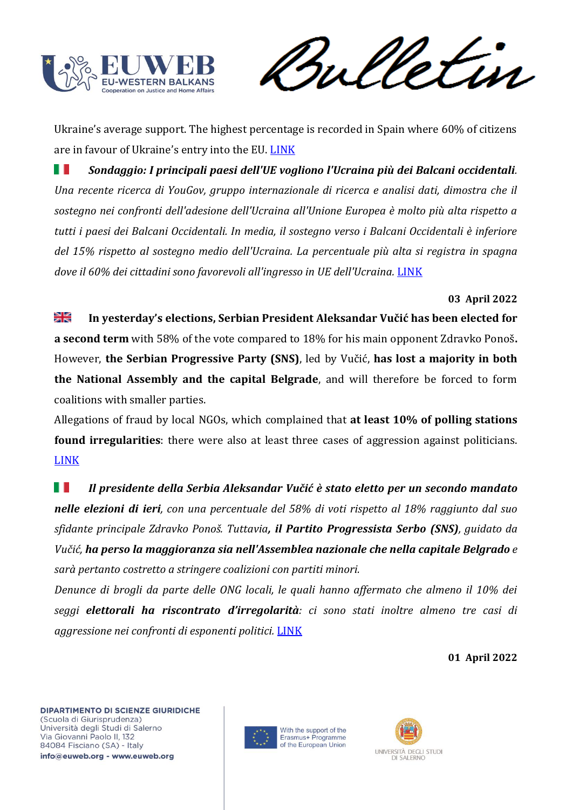

Ukraine's average support. The highest percentage is recorded in Spain where 60% of citizens are in favour of Ukraine's entry into the EU. [LINK](https://europeanwesternbalkans.com/2022/04/06/opinion-poll-leading-eu-countries-want-ukraine-more-than-western-balkans/)

H *Sondaggio: I principali paesi dell'UE vogliono l'Ucraina più dei Balcani occidentali. Una recente ricerca di YouGov, gruppo internazionale di ricerca e analisi dati, dimostra che il sostegno nei confronti dell'adesione dell'Ucraina all'Unione Europea è molto più alta rispetto a tutti i paesi dei Balcani Occidentali. In media, il sostegno verso i Balcani Occidentali è inferiore del 15% rispetto al sostegno medio dell'Ucraina. La percentuale più alta si registra in spagna dove il 60% dei cittadini sono favorevoli all'ingresso in UE dell'Ucraina.* [LINK](https://europeanwesternbalkans.com/2022/04/06/opinion-poll-leading-eu-countries-want-ukraine-more-than-western-balkans/)

## **03 April 2022**

꾍 **In yesterday's elections, Serbian President Aleksandar Vučić has been elected for a second term** with 58% of the vote compared to 18% for his main opponent Zdravko Ponoš**.**  However, **the Serbian Progressive Party (SNS)**, led by Vučić, **has lost a majority in both the National Assembly and the capital Belgrade**, and will therefore be forced to form coalitions with smaller parties.

Allegations of fraud by local NGOs, which complained that **at least 10% of polling stations found irregularities**: there were also at least three cases of aggression against politicians. [LINK](https://balkaninsight.com/2022/04/03/serbian-president-ruling-party-won-elections/)

Ш *Il presidente della Serbia Aleksandar Vučić è stato eletto per un secondo mandato nelle elezioni di ieri, con una percentuale del 58% di voti rispetto al 18% raggiunto dal suo sfidante principale Zdravko Ponoš. Tuttavia, il Partito Progressista Serbo (SNS), guidato da Vučić, ha perso la maggioranza sia nell'Assemblea nazionale che nella capitale Belgrado e sarà pertanto costretto a stringere coalizioni con partiti minori.*

*Denunce di brogli da parte delle ONG locali, le quali hanno affermato che almeno il 10% dei seggi elettorali ha riscontrato d'irregolarità: ci sono stati inoltre almeno tre casi di aggressione nei confronti di esponenti politici.* [LINK](https://balkaninsight.com/2022/04/03/serbian-president-ruling-party-won-elections/)

#### **01 April 2022**



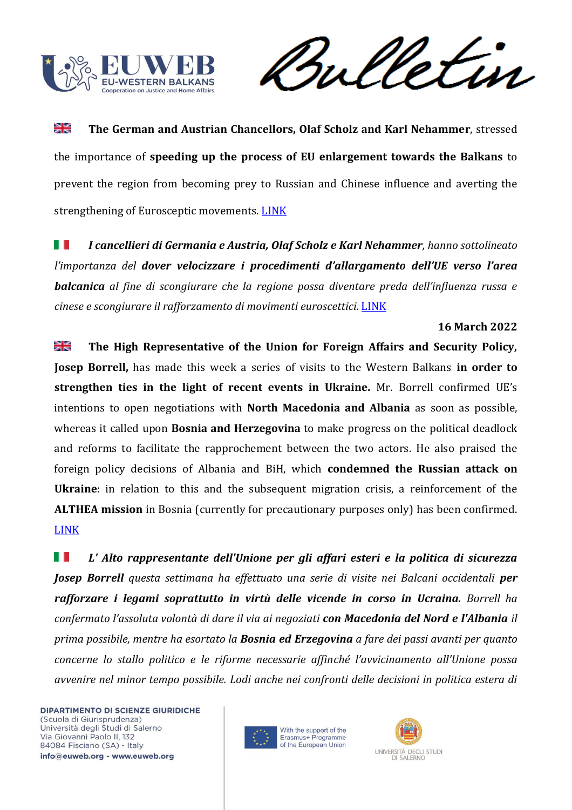

Sulletin

≱≼ **The German and Austrian Chancellors, Olaf Scholz and Karl Nehammer**, stressed the importance of **speeding up the process of EU enlargement towards the Balkans** to prevent the region from becoming prey to Russian and Chinese influence and averting the strengthening of Eurosceptic movements. [LINK](https://europeanwesternbalkans.com/2022/04/01/scholz-and-nehammer-western-balkans-needs-a-clear-eu-accession-perspective/)

H *I cancellieri di Germania e Austria, Olaf Scholz e Karl Nehammer, hanno sottolineato l'importanza del dover velocizzare i procedimenti d'allargamento dell'UE verso l'area balcanica al fine di scongiurare che la regione possa diventare preda dell'influenza russa e cinese e scongiurare il rafforzamento di movimenti euroscettici.* [LINK](https://europeanwesternbalkans.com/2022/04/01/scholz-and-nehammer-western-balkans-needs-a-clear-eu-accession-perspective/)

## **16 March 2022**

≱≼ **The High Representative of the Union for Foreign Affairs and Security Policy, Josep Borrell,** has made this week a series of visits to the Western Balkans **in order to strengthen ties in the light of recent events in Ukraine.** Mr. Borrell confirmed UE's intentions to open negotiations with **North Macedonia and Albania** as soon as possible, whereas it called upon **Bosnia and Herzegovina** to make progress on the political deadlock and reforms to facilitate the rapprochement between the two actors. He also praised the foreign policy decisions of Albania and BiH, which **condemned the Russian attack on Ukraine**: in relation to this and the subsequent migration crisis, a reinforcement of the **ALTHEA mission** in Bosnia (currently for precautionary purposes only) has been confirmed. [LINK](https://europeanwesternbalkans.com/2022/03/16/borrells-visit-to-the-balkans-it-is-high-time-to-reinvigorate-the-enlargement-process/)

Ш *L' Alto rappresentante dell'Unione per gli affari esteri e la politica di sicurezza Josep Borrell questa settimana ha effettuato una serie di visite nei Balcani occidentali per rafforzare i legami soprattutto in virtù delle vicende in corso in Ucraina. Borrell ha confermato l'assoluta volontà di dare il via ai negoziati con Macedonia del Nord e l'Albania il prima possibile, mentre ha esortato la Bosnia ed Erzegovina a fare dei passi avanti per quanto concerne lo stallo politico e le riforme necessarie affinché l'avvicinamento all'Unione possa avvenire nel minor tempo possibile. Lodi anche nei confronti delle decisioni in politica estera di* 



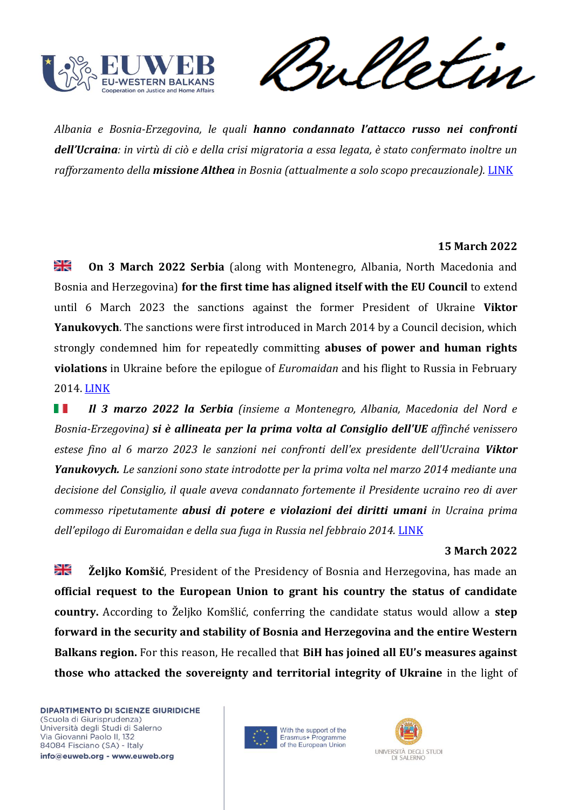

etin rul

*Albania e Bosnia-Erzegovina, le quali hanno condannato l'attacco russo nei confronti dell'Ucraina: in virtù di ciò e della crisi migratoria a essa legata, è stato confermato inoltre un rafforzamento della missione Althea in Bosnia (attualmente a solo scopo precauzionale).* [LINK](https://europeanwesternbalkans.com/2022/03/16/borrells-visit-to-the-balkans-it-is-high-time-to-reinvigorate-the-enlargement-process/)

# **15 March 2022**

≱≼ **On 3 March 2022 Serbia** (along with Montenegro, Albania, North Macedonia and Bosnia and Herzegovina) **for the first time has aligned itself with the EU Council** to extend until 6 March 2023 the sanctions against the former President of Ukraine **Viktor Yanukovych**. The sanctions were first introduced in March 2014 by a Council decision, which strongly condemned him for repeatedly committing **abuses of power and human rights violations** in Ukraine before the epilogue of *Euromaidan* and his flight to Russia in February 2014. [LINK](https://europeanwesternbalkans.com/2022/03/15/serbia-aligns-with-eu-sanctions-over-ukraine-for-first-time/)

H *Il 3 marzo 2022 la Serbia (insieme a Montenegro, Albania, Macedonia del Nord e Bosnia-Erzegovina) si è allineata per la prima volta al Consiglio dell'UE affinché venissero estese fino al 6 marzo 2023 le sanzioni nei confronti dell'ex presidente dell'Ucraina Viktor Yanukovych. Le sanzioni sono state introdotte per la prima volta nel marzo 2014 mediante una decisione del Consiglio, il quale aveva condannato fortemente il Presidente ucraino reo di aver commesso ripetutamente abusi di potere e violazioni dei diritti umani in Ucraina prima dell'epilogo di Euromaidan e della sua fuga in Russia nel febbraio 2014.* [LINK](https://europeanwesternbalkans.com/2022/03/15/serbia-aligns-with-eu-sanctions-over-ukraine-for-first-time/)

## **3 March 2022**

꼭 **Željko Komšić**, President of the Presidency of Bosnia and Herzegovina, has made an **official request to the European Union to grant his country the status of candidate country.** According to Željko Komšlić, conferring the candidate status would allow a **step forward in the security and stability of Bosnia and Herzegovina and the entire Western Balkans region.** For this reason, He recalled that **BiH has joined all EU's measures against those who attacked the sovereignty and territorial integrity of Ukraine** in the light of



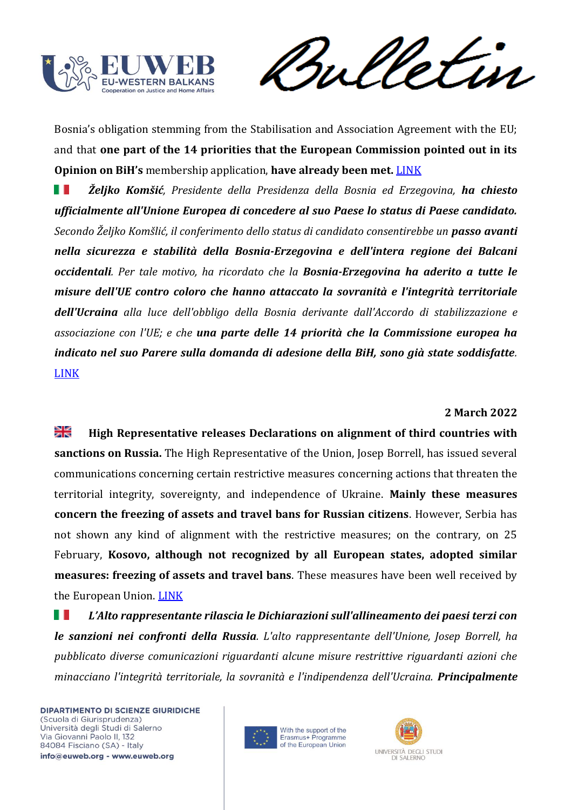

Sulletin

Bosnia's obligation stemming from the Stabilisation and Association Agreement with the EU; and that **one part of the 14 priorities that the European Commission pointed out in its Opinion on BiH's** membership application, **have already been met.** [LINK](https://europeanwesternbalkans.com/2022/03/08/bih-presidency-chairman-komsic-asks-eu-to-consider-granting-bosnia-with-candidate-status/)

ш *Željko Komšić, Presidente della Presidenza della Bosnia ed Erzegovina, ha chiesto ufficialmente all'Unione Europea di concedere al suo Paese lo status di Paese candidato. Secondo Željko Komšlić, il conferimento dello status di candidato consentirebbe un passo avanti nella sicurezza e stabilità della Bosnia-Erzegovina e dell'intera regione dei Balcani occidentali. Per tale motivo, ha ricordato che la Bosnia-Erzegovina ha aderito a tutte le misure dell'UE contro coloro che hanno attaccato la sovranità e l'integrità territoriale dell'Ucraina alla luce dell'obbligo della Bosnia derivante dall'Accordo di stabilizzazione e associazione con l'UE; e che una parte delle 14 priorità che la Commissione europea ha indicato nel suo Parere sulla domanda di adesione della BiH, sono già state soddisfatte.*  [LINK](https://europeanwesternbalkans.com/2022/03/08/bih-presidency-chairman-komsic-asks-eu-to-consider-granting-bosnia-with-candidate-status/)

### **2 March 2022**

≱≼ **High Representative releases Declarations on alignment of third countries with sanctions on Russia.** The High Representative of the Union, Josep Borrell, has issued several communications concerning certain restrictive measures concerning actions that threaten the territorial integrity, sovereignty, and independence of Ukraine. **Mainly these measures concern the freezing of assets and travel bans for Russian citizens**. However, Serbia has not shown any kind of alignment with the restrictive measures; on the contrary, on 25 February, **Kosovo, although not recognized by all European states, adopted similar measures: freezing of assets and travel bans**. These measures have been well received by the European Union. [LINK](https://europeanwesternbalkans.com/2022/03/02/high-representative-releseas-a-declaration-on-alignment-of-third-countries-with-sanctions-on-russia/)

U U *L'Alto rappresentante rilascia le Dichiarazioni sull'allineamento dei paesi terzi con le sanzioni nei confronti della Russia. L'alto rappresentante dell'Unione, Josep Borrell, ha pubblicato diverse comunicazioni riguardanti alcune misure restrittive riguardanti azioni che minacciano l'integrità territoriale, la sovranità e l'indipendenza dell'Ucraina. Principalmente* 



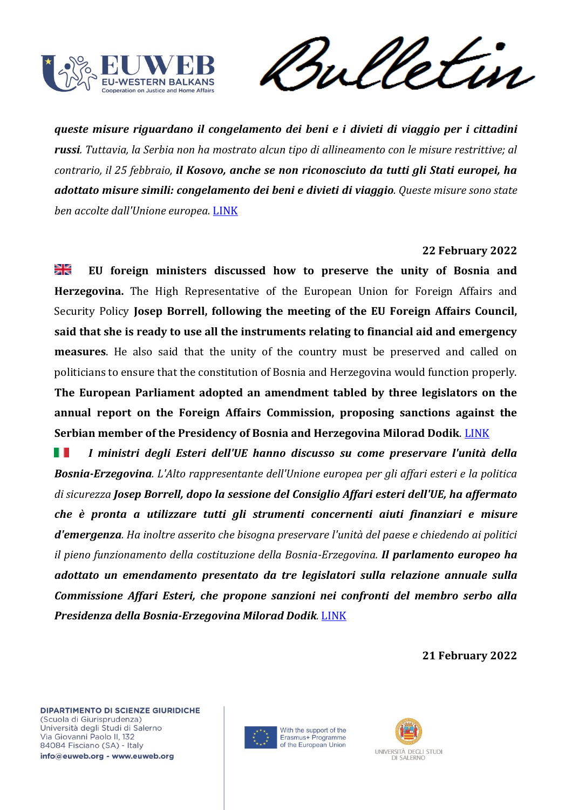

Sulletin

*queste misure riguardano il congelamento dei beni e i divieti di viaggio per i cittadini russi. Tuttavia, la Serbia non ha mostrato alcun tipo di allineamento con le misure restrittive; al contrario, il 25 febbraio, il Kosovo, anche se non riconosciuto da tutti gli Stati europei, ha adottato misure simili: congelamento dei beni e divieti di viaggio. Queste misure sono state ben accolte dall'Unione europea.* [LINK](https://europeanwesternbalkans.com/2022/03/02/high-representative-releseas-a-declaration-on-alignment-of-third-countries-with-sanctions-on-russia/)

### **22 February 2022**

꽃 **EU foreign ministers discussed how to preserve the unity of Bosnia and Herzegovina.** The High Representative of the European Union for Foreign Affairs and Security Policy **Josep Borrell, following the meeting of the EU Foreign Affairs Council, said that she is ready to use all the instruments relating to financial aid and emergency measures**. He also said that the unity of the country must be preserved and called on politicians to ensure that the constitution of Bosnia and Herzegovina would function properly. **The European Parliament adopted an amendment tabled by three legislators on the** 

**annual report on the Foreign Affairs Commission, proposing sanctions against the Serbian member of the Presidency of Bosnia and Herzegovina Milorad Dodik**. [LINK](https://europeanwesternbalkans.com/2022/02/22/eu-foreign-ministers-discussed-how-to-preserve-the-unity-of-bih/)

HT. *I ministri degli Esteri dell'UE hanno discusso su come preservare l'unità della Bosnia-Erzegovina. L'Alto rappresentante dell'Unione europea per gli affari esteri e la politica di sicurezza Josep Borrell, dopo la sessione del Consiglio Affari esteri dell'UE, ha affermato che è pronta a utilizzare tutti gli strumenti concernenti aiuti finanziari e misure d'emergenza. Ha inoltre asserito che bisogna preservare l'unità del paese e chiedendo ai politici il pieno funzionamento della costituzione della Bosnia-Erzegovina. Il parlamento europeo ha adottato un emendamento presentato da tre legislatori sulla relazione annuale sulla Commissione Affari Esteri, che propone sanzioni nei confronti del membro serbo alla Presidenza della Bosnia-Erzegovina Milorad Dodik.* [LINK](https://europeanwesternbalkans.com/2022/02/22/eu-foreign-ministers-discussed-how-to-preserve-the-unity-of-bih/)

**21 February 2022**





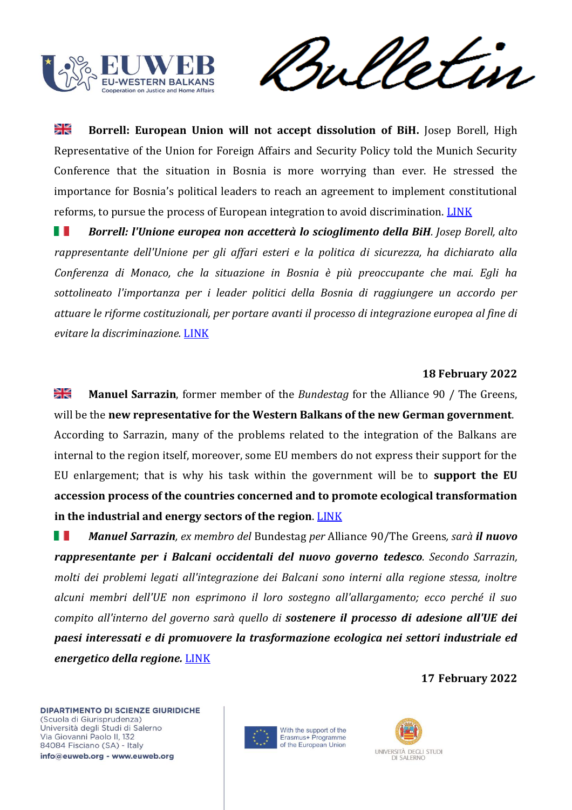

Sulletin

≱≼ **Borrell: European Union will not accept dissolution of BiH.** Josep Borell, High Representative of the Union for Foreign Affairs and Security Policy told the Munich Security Conference that the situation in Bosnia is more worrying than ever. He stressed the importance for Bosnia's political leaders to reach an agreement to implement constitutional reforms, to pursue the process of European integration to avoid discrimination. [LINK](https://europeanwesternbalkans.com/2022/02/21/borrell-european-union-will-not-accept-dissolution-of-bih/)

ш *Borrell: l'Unione europea non accetterà lo scioglimento della BiH. Josep Borell, alto rappresentante dell'Unione per gli affari esteri e la politica di sicurezza, ha dichiarato alla Conferenza di Monaco, che la situazione in Bosnia è più preoccupante che mai. Egli ha sottolineato l'importanza per i leader politici della Bosnia di raggiungere un accordo per attuare le riforme costituzionali, per portare avanti il processo di integrazione europea al fine di evitare la discriminazione.* [LINK](https://europeanwesternbalkans.com/2022/02/21/borrell-european-union-will-not-accept-dissolution-of-bih/)

### **18 February 2022**

≱≼ **Manuel Sarrazin**, former member of the *Bundestag* for the Alliance 90 / The Greens, will be the **new representative for the Western Balkans of the new German government**. According to Sarrazin, many of the problems related to the integration of the Balkans are internal to the region itself, moreover, some EU members do not express their support for the EU enlargement; that is why his task within the government will be to **support the EU accession process of the countries concerned and to promote ecological transformation in the industrial and energy sectors of the region**. [LINK](https://europeanwesternbalkans.com/2022/02/18/manuel-sarrazin-to-become-german-governments-representative-for-the-western-balkans/)

ш *Manuel Sarrazin, ex membro del* Bundestag *per* Alliance 90/The Greens*, sarà il nuovo rappresentante per i Balcani occidentali del nuovo governo tedesco. Secondo Sarrazin, molti dei problemi legati all'integrazione dei Balcani sono interni alla regione stessa, inoltre alcuni membri dell'UE non esprimono il loro sostegno all'allargamento; ecco perché il suo compito all'interno del governo sarà quello di sostenere il processo di adesione all'UE dei paesi interessati e di promuovere la trasformazione ecologica nei settori industriale ed energetico della regione.* [LINK](https://europeanwesternbalkans.com/2022/02/18/manuel-sarrazin-to-become-german-governments-representative-for-the-western-balkans/)

**17 February 2022**



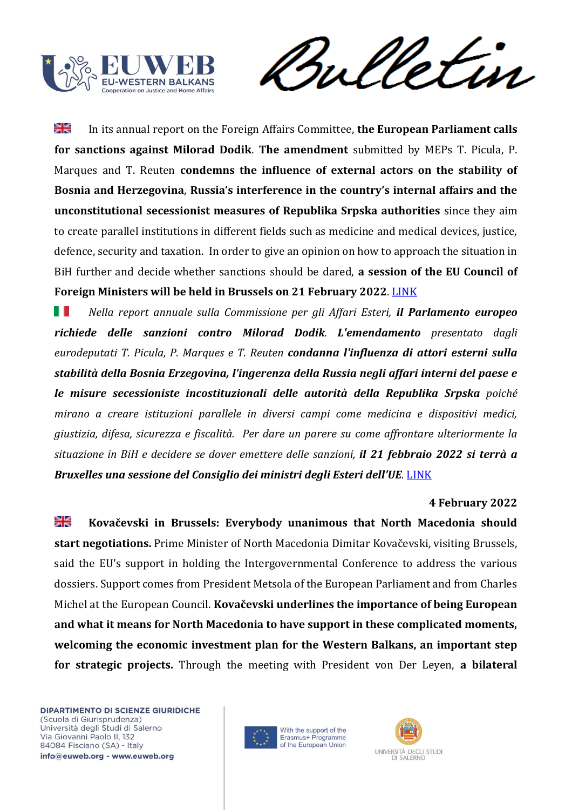

Sulletin

⋇ In its annual report on the Foreign Affairs Committee, **the European Parliament calls for sanctions against Milorad Dodik**. **The amendment** submitted by MEPs T. Picula, P. Marques and T. Reuten **condemns the influence of external actors on the stability of Bosnia and Herzegovina**, **Russia's interference in the country's internal affairs and the unconstitutional secessionist measures of Republika Srpska authorities** since they aim to create parallel institutions in different fields such as medicine and medical devices, justice, defence, security and taxation. In order to give an opinion on how to approach the situation in BiH further and decide whether sanctions should be dared, **a session of the EU Council of Foreign Ministers will be held in Brussels on 21 February 2022**. [LINK](https://europeanwesternbalkans.com/2022/02/17/european-parliament-calls-for-sanctions-against-milorad-dodik/)

ш *Nella report annuale sulla Commissione per gli Affari Esteri, il Parlamento europeo richiede delle sanzioni contro Milorad Dodik. L'emendamento presentato dagli eurodeputati T. Picula, P. Marques e T. Reuten condanna l'influenza di attori esterni sulla stabilità della Bosnia Erzegovina, l'ingerenza della Russia negli affari interni del paese e le misure secessioniste incostituzionali delle autorità della Republika Srpska poiché mirano a creare istituzioni parallele in diversi campi come medicina e dispositivi medici, giustizia, difesa, sicurezza e fiscalità. Per dare un parere su come affrontare ulteriormente la situazione in BiH e decidere se dover emettere delle sanzioni, il 21 febbraio 2022 si terrà a Bruxelles una sessione del Consiglio dei ministri degli Esteri dell'UE.* [LINK](https://europeanwesternbalkans.com/2022/02/17/european-parliament-calls-for-sanctions-against-milorad-dodik/)

### **4 February 2022**

≱ছ **Kovačevski in Brussels: Everybody unanimous that North Macedonia should start negotiations.** Prime Minister of North Macedonia Dimitar Kovačevski, visiting Brussels, said the EU's support in holding the Intergovernmental Conference to address the various dossiers. Support comes from President Metsola of the European Parliament and from Charles Michel at the European Council. **Kovačevski underlines the importance of being European and what it means for North Macedonia to have support in these complicated moments, welcoming the economic investment plan for the Western Balkans, an important step for strategic projects.** Through the meeting with President von Der Leyen, **a bilateral** 



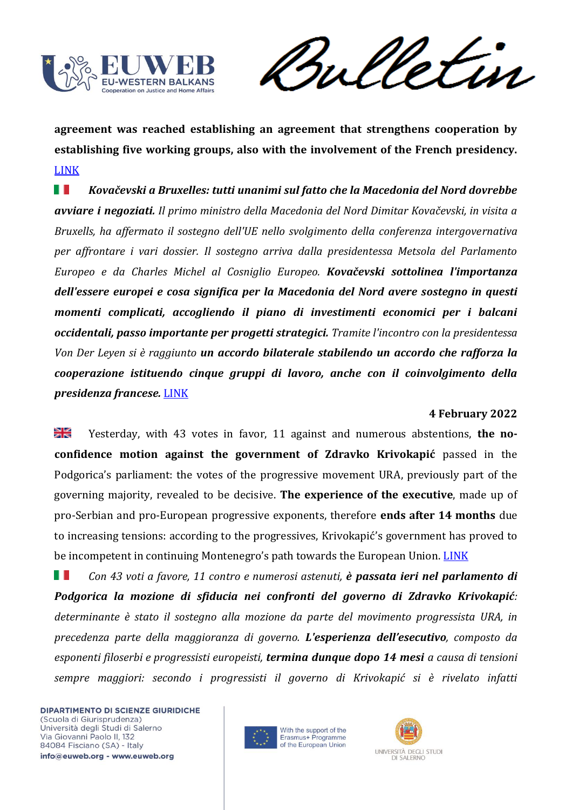

Sulletin

**agreement was reached establishing an agreement that strengthens cooperation by establishing five working groups, also with the involvement of the French presidency.** [LINK](https://europeanwesternbalkans.com/2022/02/04/kovacevski-in-brussels-everybody-unanimous-that-north-macedonia-should-start-negotiations/)

W *Kovačevski a Bruxelles: tutti unanimi sul fatto che la Macedonia del Nord dovrebbe avviare i negoziati. Il primo ministro della Macedonia del Nord Dimitar Kovačevski, in visita a Bruxells, ha affermato il sostegno dell'UE nello svolgimento della conferenza intergovernativa per affrontare i vari dossier. Il sostegno arriva dalla presidentessa Metsola del Parlamento Europeo e da Charles Michel al Cosniglio Europeo. Kovačevski sottolinea l'importanza dell'essere europei e cosa significa per la Macedonia del Nord avere sostegno in questi momenti complicati, accogliendo il piano di investimenti economici per i balcani occidentali, passo importante per progetti strategici. Tramite l'incontro con la presidentessa Von Der Leyen si è raggiunto un accordo bilaterale stabilendo un accordo che rafforza la cooperazione istituendo cinque gruppi di lavoro, anche con il coinvolgimento della presidenza francese.* [LINK](https://europeanwesternbalkans.com/2022/02/04/kovacevski-in-brussels-everybody-unanimous-that-north-macedonia-should-start-negotiations/)

## **4 February 2022**

≱≼ Yesterday, with 43 votes in favor, 11 against and numerous abstentions, **the noconfidence motion against the government of Zdravko Krivokapić** passed in the Podgorica's parliament: the votes of the progressive movement URA, previously part of the governing majority, revealed to be decisive. **The experience of the executive**, made up of pro-Serbian and pro-European progressive exponents, therefore **ends after 14 months** due to increasing tensions: according to the progressives, Krivokapić's government has proved to be incompetent in continuing Montenegro's path towards the European Union. [LINK](https://europeanwesternbalkans.com/2022/02/04/government-of-zdravko-krivokapic-loses-the-confidence-vote/)

ш *Con 43 voti a favore, 11 contro e numerosi astenuti, è passata ieri nel parlamento di Podgorica la mozione di sfiducia nei confronti del governo di Zdravko Krivokapić: determinante è stato il sostegno alla mozione da parte del movimento progressista URA, in precedenza parte della maggioranza di governo. L'esperienza dell'esecutivo, composto da esponenti filoserbi e progressisti europeisti, termina dunque dopo 14 mesi a causa di tensioni sempre maggiori: secondo i progressisti il governo di Krivokapić si è rivelato infatti* 



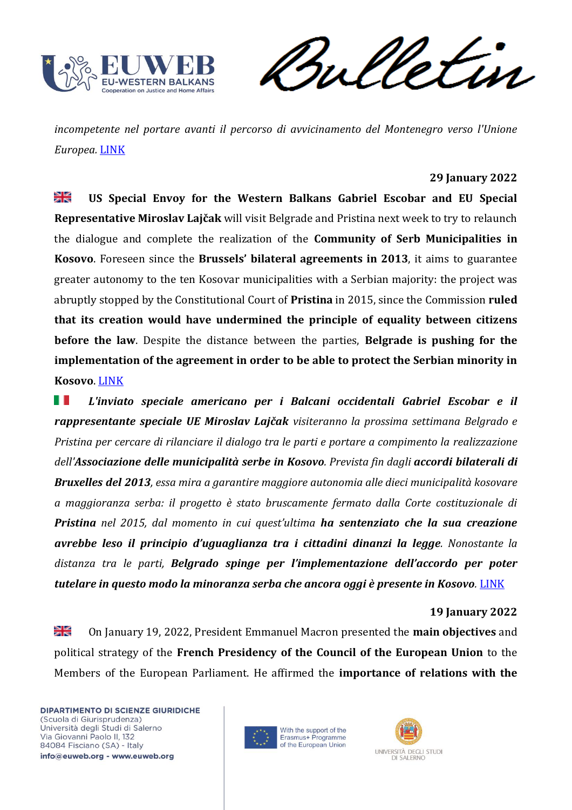

Sulletin

*incompetente nel portare avanti il percorso di avvicinamento del Montenegro verso l'Unione Europea.* [LINK](https://europeanwesternbalkans.com/2022/02/04/government-of-zdravko-krivokapic-loses-the-confidence-vote/)

### **29 January 2022**

꾍 **US Special Envoy for the Western Balkans Gabriel Escobar and EU Special Representative Miroslav Lajčak** will visit Belgrade and Pristina next week to try to relaunch the dialogue and complete the realization of the **Community of Serb Municipalities in Kosovo**. Foreseen since the **Brussels' bilateral agreements in 2013**, it aims to guarantee greater autonomy to the ten Kosovar municipalities with a Serbian majority: the project was abruptly stopped by the Constitutional Court of **Pristina** in 2015, since the Commission **ruled that its creation would have undermined the principle of equality between citizens before the law**. Despite the distance between the parties, **Belgrade is pushing for the implementation of the agreement in order to be able to protect the Serbian minority in Kosovo**. [LINK](https://www.balcanicaucaso.org/Media/Multimedia/UE-e-USA-rilanciano-l-Associazione-delle-municipalita-serbe-in-Kosovo)

ш *L'inviato speciale americano per i Balcani occidentali Gabriel Escobar e il rappresentante speciale UE Miroslav Lajčak visiteranno la prossima settimana Belgrado e Pristina per cercare di rilanciare il dialogo tra le parti e portare a compimento la realizzazione dell'Associazione delle municipalità serbe in Kosovo. Prevista fin dagli accordi bilaterali di Bruxelles del 2013, essa mira a garantire maggiore autonomia alle dieci municipalità kosovare a maggioranza serba: il progetto è stato bruscamente fermato dalla Corte costituzionale di Pristina nel 2015, dal momento in cui quest'ultima ha sentenziato che la sua creazione avrebbe leso il principio d'uguaglianza tra i cittadini dinanzi la legge. Nonostante la distanza tra le parti, Belgrado spinge per l'implementazione dell'accordo per poter tutelare in questo modo la minoranza serba che ancora oggi è presente in Kosovo.* [LINK](https://www.balcanicaucaso.org/Media/Multimedia/UE-e-USA-rilanciano-l-Associazione-delle-municipalita-serbe-in-Kosovo)

#### **19 January 2022**

≱ছ On January 19, 2022, President Emmanuel Macron presented the **main objectives** and political strategy of the **French Presidency of the Council of the European Union** to the Members of the European Parliament. He affirmed the **importance of relations with the** 



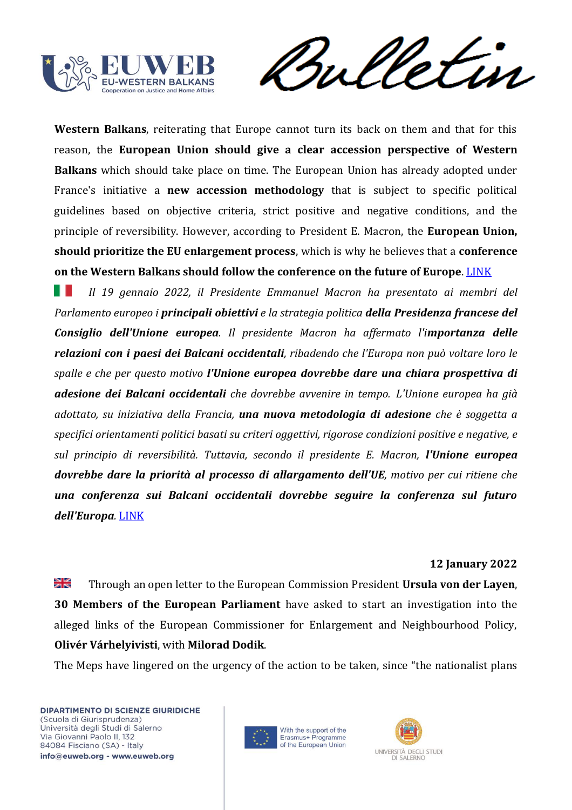

Sulletin

**Western Balkans**, reiterating that Europe cannot turn its back on them and that for this reason, the **European Union should give a clear accession perspective of Western Balkans** which should take place on time. The European Union has already adopted under France's initiative a **new accession methodology** that is subject to specific political guidelines based on objective criteria, strict positive and negative conditions, and the principle of reversibility. However, according to President E. Macron, the **European Union, should prioritize the EU enlargement process**, which is why he believes that a **conference on the Western Balkans should follow the conference on the future of Europe**. [LINK](https://europeanwesternbalkans.com/2022/01/19/macron-calls-for-clear-accession-perspective-of-western-balkans-and-reform-of-the-eu/)

Ш *Il 19 gennaio 2022, il Presidente Emmanuel Macron ha presentato ai membri del Parlamento europeo i principali obiettivi e la strategia politica della Presidenza francese del Consiglio dell'Unione europea. Il presidente Macron ha affermato l'importanza delle relazioni con i paesi dei Balcani occidentali, ribadendo che l'Europa non può voltare loro le spalle e che per questo motivo l'Unione europea dovrebbe dare una chiara prospettiva di adesione dei Balcani occidentali che dovrebbe avvenire in tempo. L'Unione europea ha già adottato, su iniziativa della Francia, una nuova metodologia di adesione che è soggetta a specifici orientamenti politici basati su criteri oggettivi, rigorose condizioni positive e negative, e sul principio di reversibilità. Tuttavia, secondo il presidente E. Macron, l'Unione europea dovrebbe dare la priorità al processo di allargamento dell'UE, motivo per cui ritiene che una conferenza sui Balcani occidentali dovrebbe seguire la conferenza sul futuro dell'Europa.* [LINK](https://europeanwesternbalkans.com/2022/01/19/macron-calls-for-clear-accession-perspective-of-western-balkans-and-reform-of-the-eu/)

## **12 January 2022**

≱≼ Through an open letter to the European Commission President **Ursula von der Layen**, **30 Members of the European Parliament** have asked to start an investigation into the alleged links of the European Commissioner for Enlargement and Neighbourhood Policy, **Olivér Várhelyivisti**, with **Milorad Dodik**.

The Meps have lingered on the urgency of the action to be taken, since "the nationalist plans



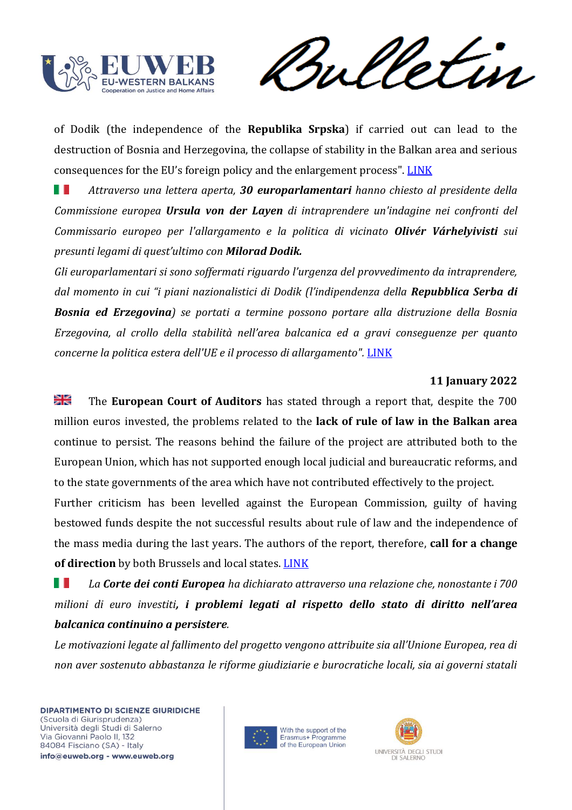

rul Vetin

of Dodik (the independence of the **Republika Srpska**) if carried out can lead to the destruction of Bosnia and Herzegovina, the collapse of stability in the Balkan area and serious consequences for the EU's foreign policy and the enlargement process". [LINK](https://europeanwesternbalkans.com/2022/01/12/meps-urge-for-investigation-againt-enlargement-commissioner-for-ties-to-milorad-dodik/)

ш *Attraverso una lettera aperta, 30 europarlamentari hanno chiesto al presidente della Commissione europea Ursula von der Layen di intraprendere un'indagine nei confronti del Commissario europeo per l'allargamento e la politica di vicinato Olivér Várhelyivisti sui presunti legami di quest'ultimo con Milorad Dodik.*

*Gli europarlamentari si sono soffermati riguardo l'urgenza del provvedimento da intraprendere, dal momento in cui "i piani nazionalistici di Dodik (l'indipendenza della Repubblica Serba di Bosnia ed Erzegovina) se portati a termine possono portare alla distruzione della Bosnia Erzegovina, al crollo della stabilità nell'area balcanica ed a gravi conseguenze per quanto concerne la politica estera dell'UE e il processo di allargamento".* [LINK](https://europeanwesternbalkans.com/2022/01/12/meps-urge-for-investigation-againt-enlargement-commissioner-for-ties-to-milorad-dodik/)

# **11 January 2022**

≫i<br>Xi The **European Court of Auditors** has stated through a report that, despite the 700 million euros invested, the problems related to the **lack of rule of law in the Balkan area** continue to persist. The reasons behind the failure of the project are attributed both to the European Union, which has not supported enough local judicial and bureaucratic reforms, and to the state governments of the area which have not contributed effectively to the project.

Further criticism has been levelled against the European Commission, guilty of having bestowed funds despite the not successful results about rule of law and the independence of the mass media during the last years. The authors of the report, therefore, **call for a change**  of direction by both Brussels and local states. **[LINK](https://europeanwesternbalkans.com/2022/01/11/european-court-of-auditors-eu-support-for-rule-of-law-in-western-balkans-ineffective/)** 

HT. *La Corte dei conti Europea ha dichiarato attraverso una relazione che, nonostante i 700 milioni di euro investiti, i problemi legati al rispetto dello stato di diritto nell'area balcanica continuino a persistere.*

*Le motivazioni legate al fallimento del progetto vengono attribuite sia all'Unione Europea, rea di non aver sostenuto abbastanza le riforme giudiziarie e burocratiche locali, sia ai governi statali* 



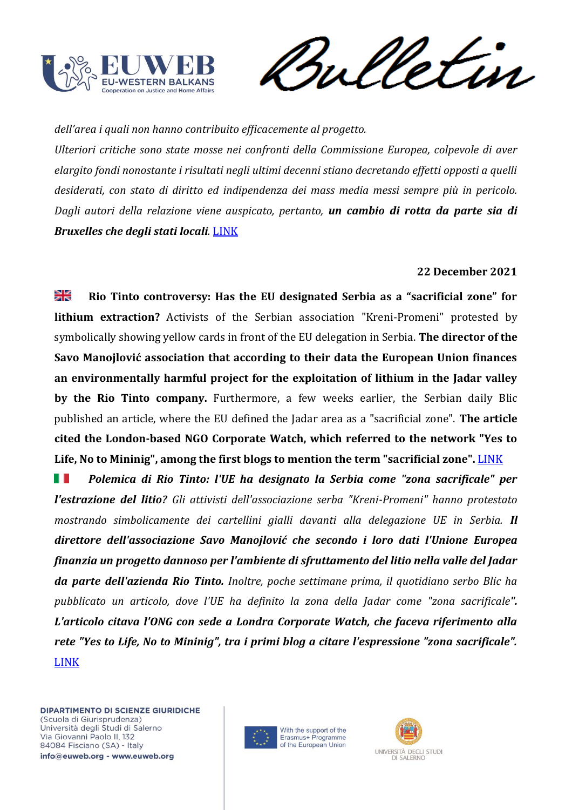

Sulletin

*dell'area i quali non hanno contribuito efficacemente al progetto.* 

*Ulteriori critiche sono state mosse nei confronti della Commissione Europea, colpevole di aver elargito fondi nonostante i risultati negli ultimi decenni stiano decretando effetti opposti a quelli desiderati, con stato di diritto ed indipendenza dei mass media messi sempre più in pericolo. Dagli autori della relazione viene auspicato, pertanto, un cambio di rotta da parte sia di Bruxelles che degli stati locali.* [LINK](https://europeanwesternbalkans.com/2022/01/11/european-court-of-auditors-eu-support-for-rule-of-law-in-western-balkans-ineffective/)

## **22 December 2021**

≱∉ **Rio Tinto controversy: Has the EU designated Serbia as a "sacrificial zone" for lithium extraction?** Activists of the Serbian association "Kreni-Promeni" protested by symbolically showing yellow cards in front of the EU delegation in Serbia. **The director of the Savo Manojlović association that according to their data the European Union finances an environmentally harmful project for the exploitation of lithium in the Jadar valley by the Rio Tinto company.** Furthermore, a few weeks earlier, the Serbian daily Blic published an article, where the EU defined the Jadar area as a "sacrificial zone". **The article cited the London-based NGO Corporate Watch, which referred to the network "Yes to Life, No to Mininig", among the first blogs to mention the term "sacrificial zone".** [LINK](https://europeanwesternbalkans.com/2021/12/22/rio-tinto-controversy-has-the-eu-designated-serbia-as-a-sacrificial-zone-for-lithium-extraction/)

HT. *Polemica di Rio Tinto: l'UE ha designato la Serbia come "zona sacrificale" per l'estrazione del litio? Gli attivisti dell'associazione serba "Kreni-Promeni" hanno protestato mostrando simbolicamente dei cartellini gialli davanti alla delegazione UE in Serbia. Il direttore dell'associazione Savo Manojlović che secondo i loro dati l'Unione Europea finanzia un progetto dannoso per l'ambiente di sfruttamento del litio nella valle del Jadar da parte dell'azienda Rio Tinto. Inoltre, poche settimane prima, il quotidiano serbo Blic ha pubblicato un articolo, dove l'UE ha definito la zona della Jadar come "zona sacrificale". L'articolo citava l'ONG con sede a Londra Corporate Watch, che faceva riferimento alla rete "Yes to Life, No to Mininig", tra i primi blog a citare l'espressione "zona sacrificale".* [LINK](https://europeanwesternbalkans.com/2021/12/22/rio-tinto-controversy-has-the-eu-designated-serbia-as-a-sacrificial-zone-for-lithium-extraction/)



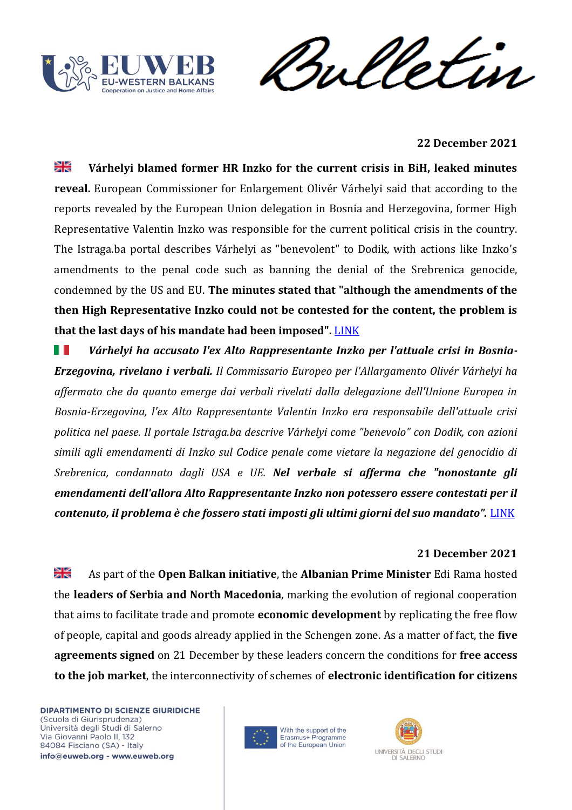



**22 December 2021**

≱≼ **Várhelyi blamed former HR Inzko for the current crisis in BiH, leaked minutes reveal.** European Commissioner for Enlargement Olivér Várhelyi said that according to the reports revealed by the European Union delegation in Bosnia and Herzegovina, former High Representative Valentin Inzko was responsible for the current political crisis in the country. The Istraga.ba portal describes Várhelyi as "benevolent" to Dodik, with actions like Inzko's amendments to the penal code such as banning the denial of the Srebrenica genocide, condemned by the US and EU. **The minutes stated that "although the amendments of the then High Representative Inzko could not be contested for the content, the problem is**  that the last days of his mandate had been imposed". **[LINK](https://europeanwesternbalkans.com/2021/12/22/varhelyi-blamed-former-hr-inzko-for-the-current-crisis-in-bih-leaked-minutes-reveal/)** 

HT. *Várhelyi ha accusato l'ex Alto Rappresentante Inzko per l'attuale crisi in Bosnia-Erzegovina, rivelano i verbali. Il Commissario Europeo per l'Allargamento Olivér Várhelyi ha affermato che da quanto emerge dai verbali rivelati dalla delegazione dell'Unione Europea in Bosnia-Erzegovina, l'ex Alto Rappresentante Valentin Inzko era responsabile dell'attuale crisi politica nel paese. Il portale Istraga.ba descrive Várhelyi come "benevolo" con Dodik, con azioni simili agli emendamenti di Inzko sul Codice penale come vietare la negazione del genocidio di Srebrenica, condannato dagli USA e UE. Nel verbale si afferma che "nonostante gli emendamenti dell'allora Alto Rappresentante Inzko non potessero essere contestati per il contenuto, il problema è che fossero stati imposti gli ultimi giorni del suo mandato".* [LINK](https://europeanwesternbalkans.com/2021/12/22/varhelyi-blamed-former-hr-inzko-for-the-current-crisis-in-bih-leaked-minutes-reveal/)

# **21 December 2021**

≱ছ As part of the **Open Balkan initiative**, the **Albanian Prime Minister** Edi Rama hosted the **leaders of Serbia and North Macedonia**, marking the evolution of regional cooperation that aims to facilitate trade and promote **economic development** by replicating the free flow of people, capital and goods already applied in the Schengen zone. As a matter of fact, the **five agreements signed** on 21 December by these leaders concern the conditions for **free access to the job market**, the interconnectivity of schemes of **electronic identification for citizens**



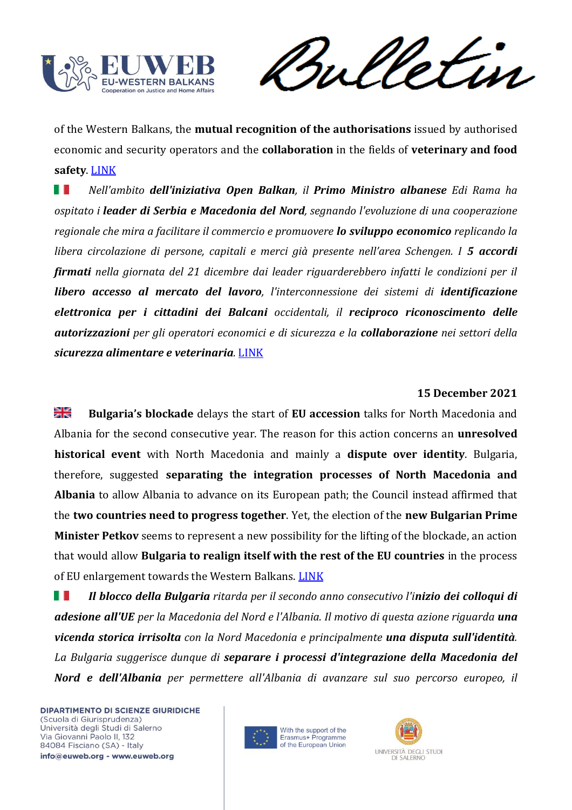

Sulletin

of the Western Balkans, the **mutual recognition of the authorisations** issued by authorised economic and security operators and the **collaboration** in the fields of **veterinary and food safety**. [LINK](https://europeanwesternbalkans.com/2021/12/21/rama-zaev-and-vucic-sign-multiple-agreements-at-the-open-balkan-summit-in-albania/)

Ш *Nell'ambito dell'iniziativa Open Balkan, il Primo Ministro albanese Edi Rama ha ospitato i leader di Serbia e Macedonia del Nord, segnando l'evoluzione di una cooperazione regionale che mira a facilitare il commercio e promuovere lo sviluppo economico replicando la libera circolazione di persone, capitali e merci già presente nell'area Schengen. I 5 accordi firmati nella giornata del 21 dicembre dai leader riguarderebbero infatti le condizioni per il libero accesso al mercato del lavoro, l'interconnessione dei sistemi di identificazione elettronica per i cittadini dei Balcani occidentali, il reciproco riconoscimento delle autorizzazioni per gli operatori economici e di sicurezza e la collaborazione nei settori della sicurezza alimentare e veterinaria.* [LINK](https://europeanwesternbalkans.com/2021/12/21/rama-zaev-and-vucic-sign-multiple-agreements-at-the-open-balkan-summit-in-albania/)

## **15 December 2021**

≱ছ **Bulgaria's blockade** delays the start of **EU accession** talks for North Macedonia and Albania for the second consecutive year. The reason for this action concerns an **unresolved historical event** with North Macedonia and mainly a **dispute over identity**. Bulgaria, therefore, suggested **separating the integration processes of North Macedonia and Albania** to allow Albania to advance on its European path; the Council instead affirmed that the **two countries need to progress together**. Yet, the election of the **new Bulgarian Prime Minister Petkov** seems to represent a new possibility for the lifting of the blockade, an action that would allow **Bulgaria to realign itself with the rest of the EU countries** in the process of EU enlargement towards the Western Balkans. [LINK](https://balkaninsight.com/2021/12/15/bulgaria-again-blocks-north-macedonia-albania-eu-accession-talks/)

. . *Il blocco della Bulgaria ritarda per il secondo anno consecutivo l'inizio dei colloqui di adesione all'UE per la Macedonia del Nord e l'Albania. Il motivo di questa azione riguarda una vicenda storica irrisolta con la Nord Macedonia e principalmente una disputa sull'identità. La Bulgaria suggerisce dunque di separare i processi d'integrazione della Macedonia del Nord e dell'Albania per permettere all'Albania di avanzare sul suo percorso europeo, il* 



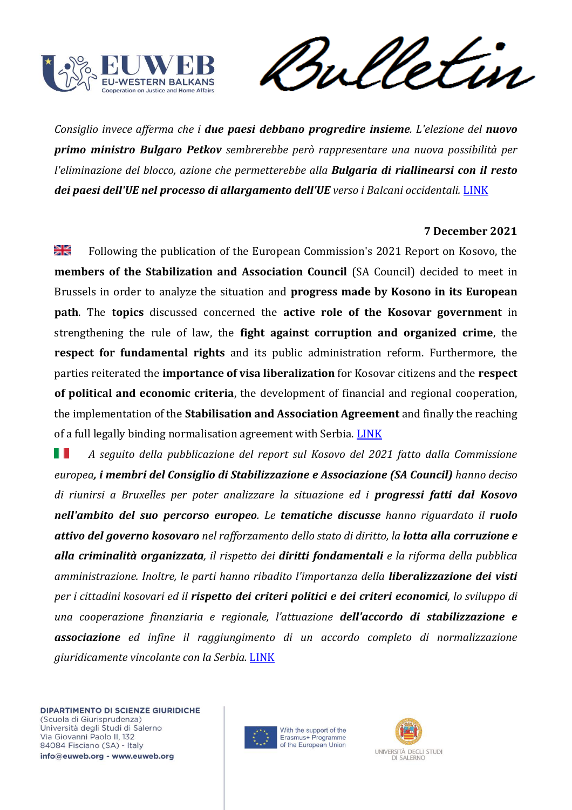

meletin

*Consiglio invece afferma che i due paesi debbano progredire insieme. L'elezione del nuovo primo ministro Bulgaro Petkov sembrerebbe però rappresentare una nuova possibilità per l'eliminazione del blocco, azione che permetterebbe alla Bulgaria di riallinearsi con il resto dei paesi dell'UE nel processo di allargamento dell'UE verso i Balcani occidentali.* [LINK](https://balkaninsight.com/2021/12/15/bulgaria-again-blocks-north-macedonia-albania-eu-accession-talks/)

## **7 December 2021**

꼭 Following the publication of the European Commission's 2021 Report on Kosovo, the **members of the Stabilization and Association Council** (SA Council) decided to meet in Brussels in order to analyze the situation and **progress made by Kosono in its European path**. The **topics** discussed concerned the **active role of the Kosovar government** in strengthening the rule of law, the **fight against corruption and organized crime**, the **respect for fundamental rights** and its public administration reform. Furthermore, the parties reiterated the **importance of visa liberalization** for Kosovar citizens and the **respect of political and economic criteria**, the development of financial and regional cooperation, the implementation of the **Stabilisation and Association Agreement** and finally the reaching of a full legally binding normalisation agreement with Serbia. [LINK](https://www.consilium.europa.eu/en/press/press-releases/2021/12/07/press-statement-following-the-4th-meeting-of-the-eu-kosovo-stabilisation-and-association-council-brussels-7-december-2021/)

Ш *A seguito della pubblicazione del report sul Kosovo del 2021 fatto dalla Commissione europea, i membri del Consiglio di Stabilizzazione e Associazione (SA Council) hanno deciso di riunirsi a Bruxelles per poter analizzare la situazione ed i progressi fatti dal Kosovo nell'ambito del suo percorso europeo. Le tematiche discusse hanno riguardato il ruolo attivo del governo kosovaro nel rafforzamento dello stato di diritto, la lotta alla corruzione e alla criminalità organizzata, il rispetto dei diritti fondamentali e la riforma della pubblica amministrazione. Inoltre, le parti hanno ribadito l'importanza della liberalizzazione dei visti per i cittadini kosovari ed il rispetto dei criteri politici e dei criteri economici, lo sviluppo di una cooperazione finanziaria e regionale, l'attuazione dell'accordo di stabilizzazione e associazione ed infine il raggiungimento di un accordo completo di normalizzazione giuridicamente vincolante con la Serbia.* [LINK](https://www.consilium.europa.eu/en/press/press-releases/2021/12/07/press-statement-following-the-4th-meeting-of-the-eu-kosovo-stabilisation-and-association-council-brussels-7-december-2021/)



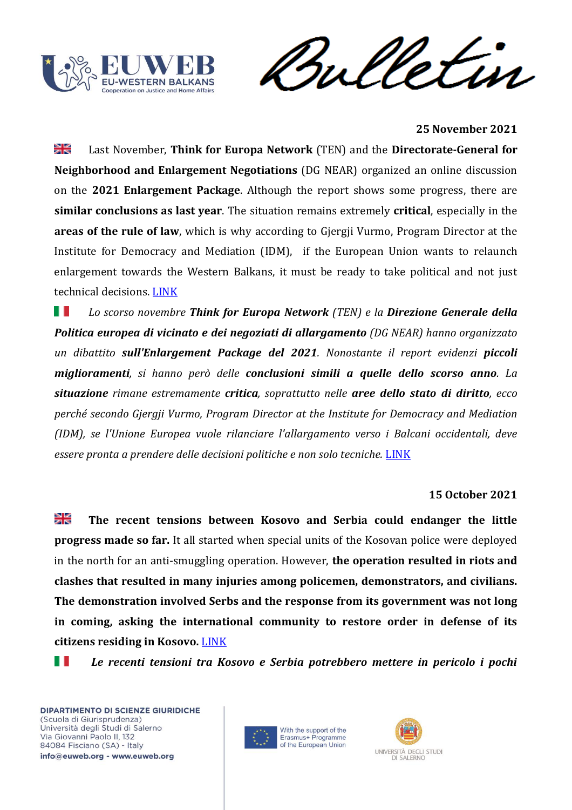



### **25 November 2021**

꼭 Last November, **Think for Europa Network** (TEN) and the **Directorate-General for Neighborhood and Enlargement Negotiations** (DG NEAR) organized an online discussion on the **2021 Enlargement Package**. Although the report shows some progress, there are **similar conclusions as last year**. The situation remains extremely **critical**, especially in the **areas of the rule of law**, which is why according to Gjergji Vurmo, Program Director at the Institute for Democracy and Mediation (IDM), if the European Union wants to relaunch enlargement towards the Western Balkans, it must be ready to take political and not just technical decisions. [LINK](https://europeanwesternbalkans.com/2021/11/25/the-2021-enlargement-package-similar-conclusions-as-last-year/)

*Lo scorso novembre Think for Europa Network (TEN) e la Direzione Generale della*  ш *Politica europea di vicinato e dei negoziati di allargamento (DG NEAR) hanno organizzato un dibattito sull'Enlargement Package del 2021. Nonostante il report evidenzi piccoli miglioramenti, si hanno però delle conclusioni simili a quelle dello scorso anno. La situazione rimane estremamente critica, soprattutto nelle aree dello stato di diritto, ecco perché secondo Gjergji Vurmo, Program Director at the Institute for Democracy and Mediation (IDM), se l'Unione Europea vuole rilanciare l'allargamento verso i Balcani occidentali, deve*  essere pronta a prendere delle decisioni politiche e non solo tecniche. **[LINK](https://europeanwesternbalkans.com/2021/11/25/the-2021-enlargement-package-similar-conclusions-as-last-year/)** 

### **15 October 2021**

≱⊮ **The recent tensions between Kosovo and Serbia could endanger the little progress made so far.** It all started when special units of the Kosovan police were deployed in the north for an anti-smuggling operation. However, **the operation resulted in riots and clashes that resulted in many injuries among policemen, demonstrators, and civilians. The demonstration involved Serbs and the response from its government was not long in coming, asking the international community to restore order in defense of its citizens residing in Kosovo.** [LINK](https://news.un.org/en/story/2021/10/1103242)

 *Le recenti tensioni tra Kosovo e Serbia potrebbero mettere in pericolo i pochi* 



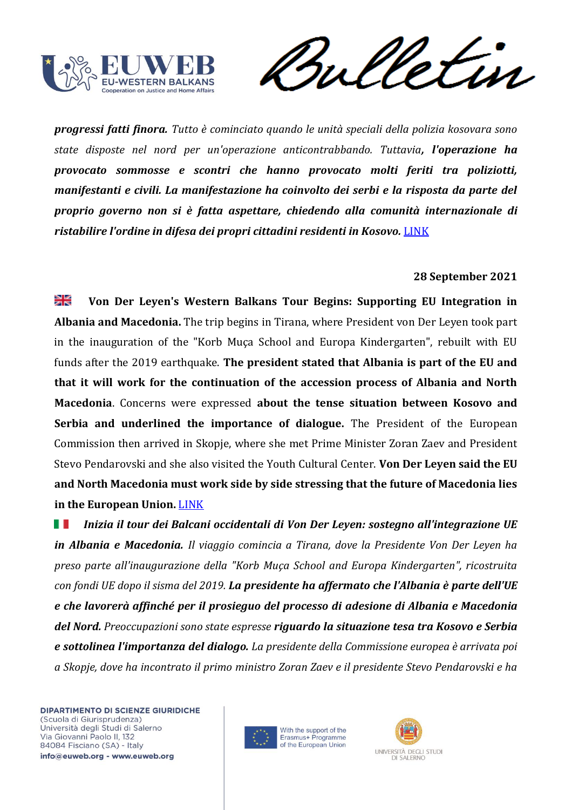

Sulletin

*progressi fatti finora. Tutto è cominciato quando le unità speciali della polizia kosovara sono state disposte nel nord per un'operazione anticontrabbando. Tuttavia, l'operazione ha provocato sommosse e scontri che hanno provocato molti feriti tra poliziotti, manifestanti e civili. La manifestazione ha coinvolto dei serbi e la risposta da parte del proprio governo non si è fatta aspettare, chiedendo alla comunità internazionale di ristabilire l'ordine in difesa dei propri cittadini residenti in Kosovo.* [LINK](https://news.un.org/en/story/2021/10/1103242)

## **28 September 2021**

≫⊯ **Von Der Leyen's Western Balkans Tour Begins: Supporting EU Integration in Albania and Macedonia.** The trip begins in Tirana, where President von Der Leyen took part in the inauguration of the "Korb Muça School and Europa Kindergarten", rebuilt with EU funds after the 2019 earthquake. **The president stated that Albania is part of the EU and that it will work for the continuation of the accession process of Albania and North Macedonia**. Concerns were expressed **about the tense situation between Kosovo and Serbia and underlined the importance of dialogue.** The President of the European Commission then arrived in Skopje, where she met Prime Minister Zoran Zaev and President Stevo Pendarovski and she also visited the Youth Cultural Center. **Von Der Leyen said the EU and North Macedonia must work side by side stressing that the future of Macedonia lies in the European Union.** [LINK](https://europeanwesternbalkans.com/2021/09/28/von-der-leyens-first-day-of-wb-tour-messages-of-support-to-eu-path-of-albania-and-north-macedonia/)

 *Inizia il tour dei Balcani occidentali di Von Der Leyen: sostegno all'integrazione UE in Albania e Macedonia. Il viaggio comincia a Tirana, dove la Presidente Von Der Leyen ha preso parte all'inaugurazione della "Korb Muça School and Europa Kindergarten", ricostruita con fondi UE dopo il sisma del 2019. La presidente ha affermato che l'Albania è parte dell'UE e che lavorerà affinché per il prosieguo del processo di adesione di Albania e Macedonia del Nord. Preoccupazioni sono state espresse riguardo la situazione tesa tra Kosovo e Serbia e sottolinea l'importanza del dialogo. La presidente della Commissione europea è arrivata poi a Skopje, dove ha incontrato il primo ministro Zoran Zaev e il presidente Stevo Pendarovski e ha* 



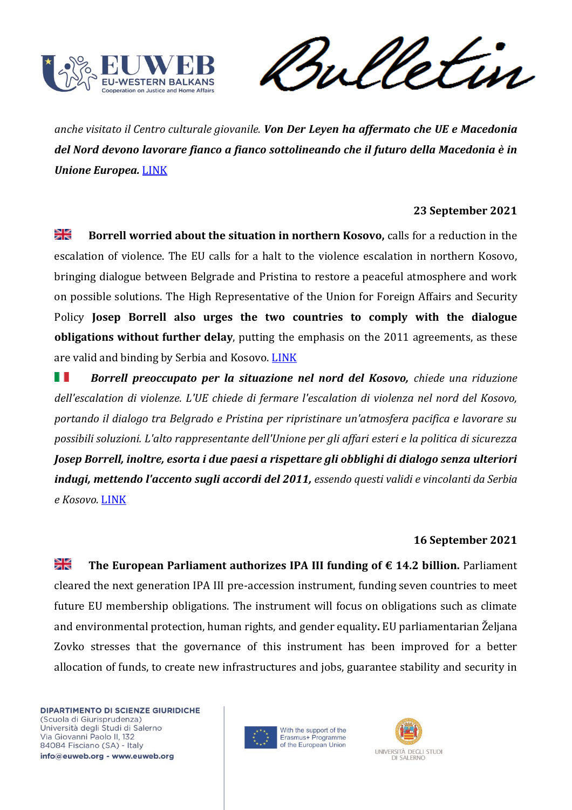

Vetin rul

*anche visitato il Centro culturale giovanile. Von Der Leyen ha affermato che UE e Macedonia del Nord devono lavorare fianco a fianco sottolineando che il futuro della Macedonia è in Unione Europea.* [LINK](https://europeanwesternbalkans.com/2021/09/28/von-der-leyens-first-day-of-wb-tour-messages-of-support-to-eu-path-of-albania-and-north-macedonia/)

## **23 September 2021**

≫⊯ **Borrell worried about the situation in northern Kosovo,** calls for a reduction in the escalation of violence. The EU calls for a halt to the violence escalation in northern Kosovo, bringing dialogue between Belgrade and Pristina to restore a peaceful atmosphere and work on possible solutions. The High Representative of the Union for Foreign Affairs and Security Policy **Josep Borrell also urges the two countries to comply with the dialogue obligations without further delay**, putting the emphasis on the 2011 agreements, as these are valid and binding by Serbia and Kosovo. [LINK](https://europeanwesternbalkans.com/2021/09/23/borrell-the-eu-calls-for-an-immediate-de-escalation-in-the-north-of-kosovo/)

*Borrell preoccupato per la situazione nel nord del Kosovo, chiede una riduzione dell'escalation di violenze. L'UE chiede di fermare l'escalation di violenza nel nord del Kosovo, portando il dialogo tra Belgrado e Pristina per ripristinare un'atmosfera pacifica e lavorare su possibili soluzioni. L'alto rappresentante dell'Unione per gli affari esteri e la politica di sicurezza Josep Borrell, inoltre, esorta i due paesi a rispettare gli obblighi di dialogo senza ulteriori indugi, mettendo l'accento sugli accordi del 2011, essendo questi validi e vincolanti da Serbia e Kosovo.* [LINK](https://europeanwesternbalkans.com/2021/09/23/borrell-the-eu-calls-for-an-immediate-de-escalation-in-the-north-of-kosovo/)

### **16 September 2021**

꽃 **The European Parliament authorizes IPA III funding of**  $\epsilon$  **14.2 billion. Parliament** cleared the next generation IPA III pre-accession instrument, funding seven countries to meet future EU membership obligations. The instrument will focus on obligations such as climate and environmental protection, human rights, and gender equality**.** EU parliamentarian Željana Zovko stresses that the governance of this instrument has been improved for a better allocation of funds, to create new infrastructures and jobs, guarantee stability and security in



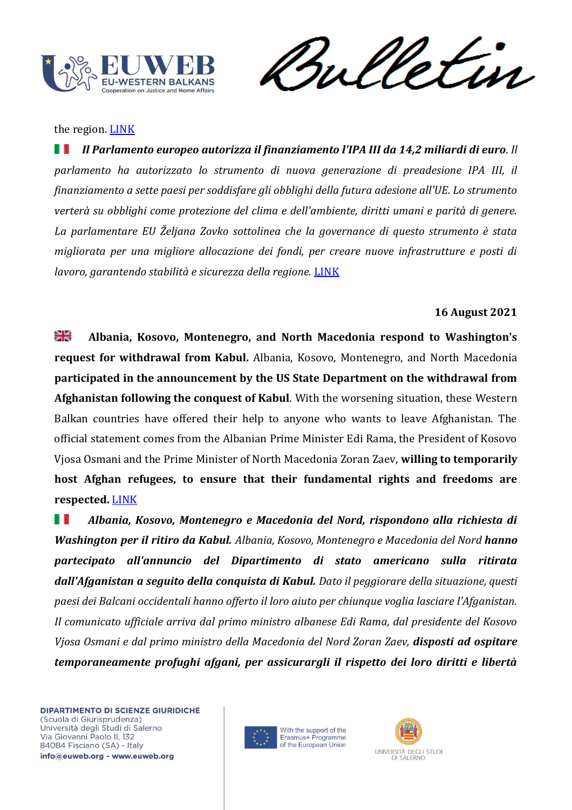

rul

the region. **[LINK](https://europeanwesternbalkans.com/2021/09/16/european-parliament-gives-green-light-to-ipa-iii-worth-14-2-billion-euro/)** 

 *Il Parlamento europeo autorizza il finanziamento l'IPA III da 14,2 miliardi di euro. Il parlamento ha autorizzato lo strumento di nuova generazione di preadesione IPA III, il finanziamento a sette paesi per soddisfare gli obblighi della futura adesione all'UE. Lo strumento verterà su obblighi come protezione del clima e dell'ambiente, diritti umani e parità di genere. La parlamentare EU Željana Zovko sottolinea che la governance di questo strumento è stata migliorata per una migliore allocazione dei fondi, per creare nuove infrastrutture e posti di lavoro, garantendo stabilità e sicurezza della regione.* [LINK](https://europeanwesternbalkans.com/2021/09/16/european-parliament-gives-green-light-to-ipa-iii-worth-14-2-billion-euro/)

# **16 August 2021**

≱ਵ **Albania, Kosovo, Montenegro, and North Macedonia respond to Washington's request for withdrawal from Kabul.** Albania, Kosovo, Montenegro, and North Macedonia **participated in the announcement by the US State Department on the withdrawal from Afghanistan following the conquest of Kabul**. With the worsening situation, these Western Balkan countries have offered their help to anyone who wants to leave Afghanistan. The official statement comes from the Albanian Prime Minister Edi Rama, the President of Kosovo Vjosa Osmani and the Prime Minister of North Macedonia Zoran Zaev, **willing to temporarily host Afghan refugees, to ensure that their fundamental rights and freedoms are respected.** [LINK](https://europeanwesternbalkans.com/2021/08/16/albania-kosovo-montenegro-and-north-macedonia-join-a-statement-on-departures-from-afghanistan/)

 *Albania, Kosovo, Montenegro e Macedonia del Nord, rispondono alla richiesta di Washington per il ritiro da Kabul. Albania, Kosovo, Montenegro e Macedonia del Nord hanno partecipato all'annuncio del Dipartimento di stato americano sulla ritirata dall'Afganistan a seguito della conquista di Kabul. Dato il peggiorare della situazione, questi paesi dei Balcani occidentali hanno offerto il loro aiuto per chiunque voglia lasciare l'Afganistan. Il comunicato ufficiale arriva dal primo ministro albanese Edi Rama, dal presidente del Kosovo Vjosa Osmani e dal primo ministro della Macedonia del Nord Zoran Zaev, disposti ad ospitare temporaneamente profughi afgani, per assicurargli il rispetto dei loro diritti e libertà* 



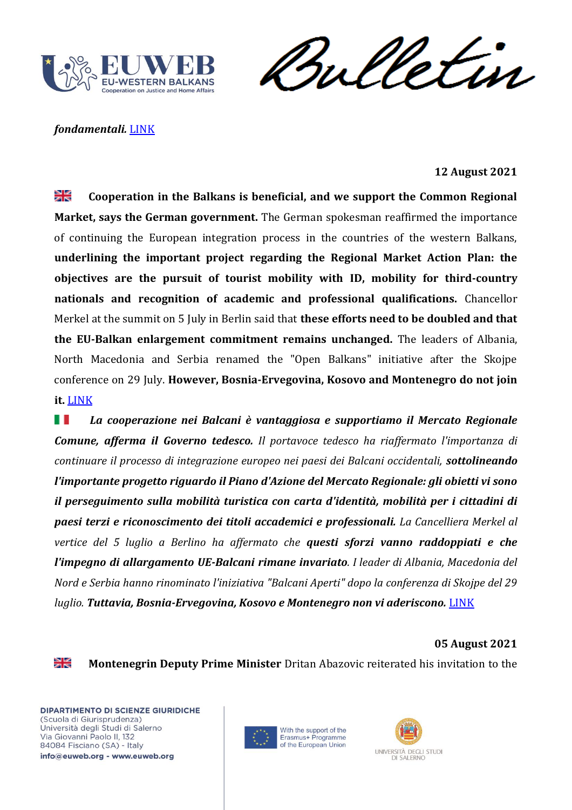

Sulletin

## *fondamentali.* [LINK](https://europeanwesternbalkans.com/2021/08/16/albania-kosovo-montenegro-and-north-macedonia-join-a-statement-on-departures-from-afghanistan/)

## **12 August 2021**

₩ **Cooperation in the Balkans is beneficial, and we support the Common Regional Market, says the German government.** The German spokesman reaffirmed the importance of continuing the European integration process in the countries of the western Balkans, **underlining the important project regarding the Regional Market Action Plan: the objectives are the pursuit of tourist mobility with ID, mobility for third-country nationals and recognition of academic and professional qualifications.** Chancellor Merkel at the summit on 5 July in Berlin said that **these efforts need to be doubled and that the EU-Balkan enlargement commitment remains unchanged.** The leaders of Albania, North Macedonia and Serbia renamed the "Open Balkans" initiative after the Skojpe conference on 29 July. **However, Bosnia-Ervegovina, Kosovo and Montenegro do not join it.** [LINK](https://europeanwesternbalkans.com/2021/08/12/german-government-any-cooperation-in-balkans-is-beneficial-we-support-common-regional-market/)

 *La cooperazione nei Balcani è vantaggiosa e supportiamo il Mercato Regionale Comune, afferma il Governo tedesco. Il portavoce tedesco ha riaffermato l'importanza di continuare il processo di integrazione europeo nei paesi dei Balcani occidentali, sottolineando l'importante progetto riguardo il Piano d'Azione del Mercato Regionale: gli obietti vi sono il perseguimento sulla mobilità turistica con carta d'identità, mobilità per i cittadini di paesi terzi e riconoscimento dei titoli accademici e professionali. La Cancelliera Merkel al vertice del 5 luglio a Berlino ha affermato che questi sforzi vanno raddoppiati e che l'impegno di allargamento UE-Balcani rimane invariato. I leader di Albania, Macedonia del Nord e Serbia hanno rinominato l'iniziativa "Balcani Aperti" dopo la conferenza di Skojpe del 29 luglio. Tuttavia, Bosnia-Ervegovina, Kosovo e Montenegro non vi aderiscono.* [LINK](https://europeanwesternbalkans.com/2021/08/12/german-government-any-cooperation-in-balkans-is-beneficial-we-support-common-regional-market/)

#### **05 August 2021**

꽃

**Montenegrin Deputy Prime Minister** Dritan Abazovic reiterated his invitation to the



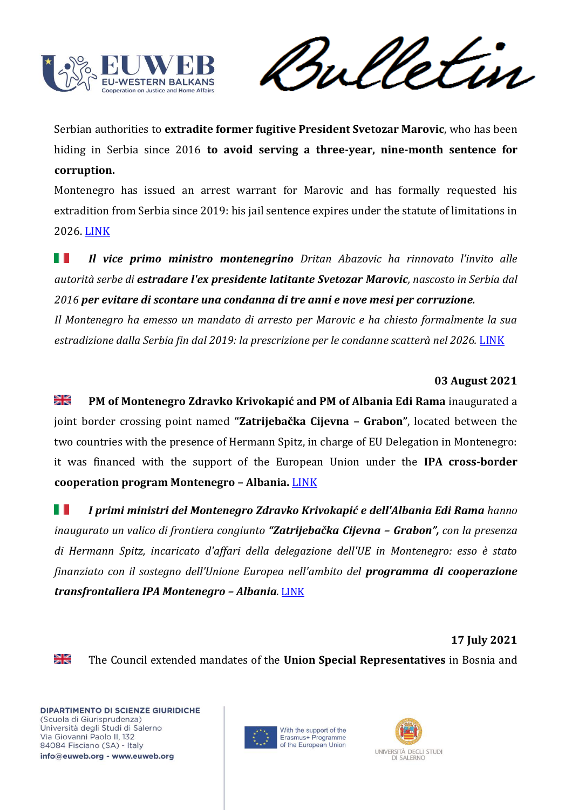

Serbian authorities to **extradite former fugitive President Svetozar Marovic**, who has been hiding in Serbia since 2016 **to avoid serving a three-year, nine-month sentence for corruption.**

Montenegro has issued an arrest warrant for Marovic and has formally requested his extradition from Serbia since 2019: his jail sentence expires under the statute of limitations in 2026. [LINK](https://balkaninsight.com/2021/08/05/montenegro-presses-serbia-again-over-fugitive-ex-presidents-extradition/)

H H *Il vice primo ministro montenegrino Dritan Abazovic ha rinnovato l'invito alle autorità serbe di estradare l'ex presidente latitante Svetozar Marovic, nascosto in Serbia dal 2016 per evitare di scontare una condanna di tre anni e nove mesi per corruzione.*

*Il Montenegro ha emesso un mandato di arresto per Marovic e ha chiesto formalmente la sua estradizione dalla Serbia fin dal 2019: la prescrizione per le condanne scatterà nel 2026.* [LINK](https://balkaninsight.com/2021/08/05/montenegro-presses-serbia-again-over-fugitive-ex-presidents-extradition/)

# **03 August 2021**

≫i<br>Xi **PM of Montenegro Zdravko Krivokapić and PM of Albania Edi Rama** inaugurated a joint border crossing point named **"Zatrijebačka Cijevna – Grabon"**, located between the two countries with the presence of Hermann Spitz, in charge of EU Delegation in Montenegro: it was financed with the support of the European Union under the **IPA cross-border cooperation program Montenegro – Albania.** [LINK](https://europeanwesternbalkans.com/2021/08/03/krivokapic-and-rama-open-a-joint-border-crossing-between-montenegro-and-albania/)

H *I primi ministri del Montenegro Zdravko Krivokapić e dell'Albania Edi Rama hanno inaugurato un valico di frontiera congiunto "Zatrijebačka Cijevna – Grabon", con la presenza di Hermann Spitz, incaricato d'affari della delegazione dell'UE in Montenegro: esso è stato finanziato con il sostegno dell'Unione Europea nell'ambito del programma di cooperazione transfrontaliera IPA Montenegro – Albania.* [LINK](https://europeanwesternbalkans.com/2021/08/03/krivokapic-and-rama-open-a-joint-border-crossing-between-montenegro-and-albania/)

### **17 July 2021**

≱ছ

The Council extended mandates of the **Union Special Representatives** in Bosnia and



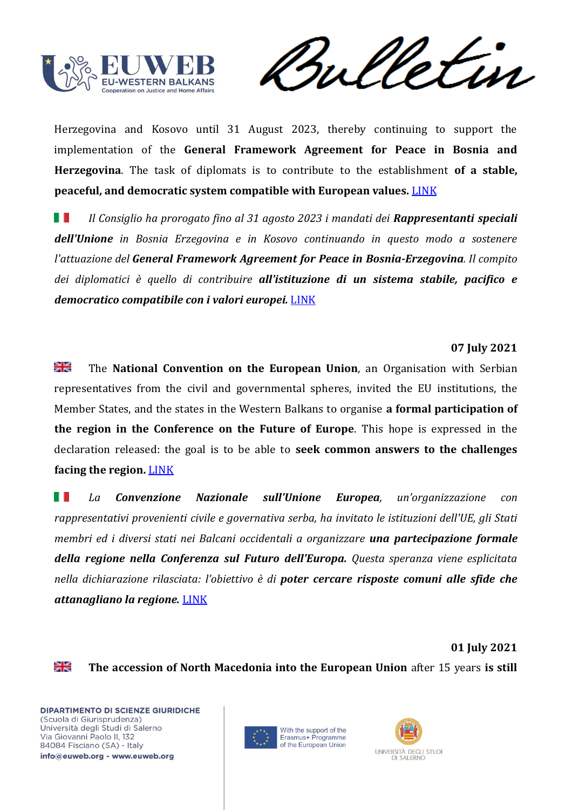

rul etin

Herzegovina and Kosovo until 31 August 2023, thereby continuing to support the implementation of the **General Framework Agreement for Peace in Bosnia and Herzegovina**. The task of diplomats is to contribute to the establishment **of a stable, peaceful, and democratic system compatible with European values.** [LINK](https://europeanwesternbalkans.com/2021/07/19/eu-extends-mandates-of-special-representatives-in-bih-and-kosovo-until-2023/)

H T *Il Consiglio ha prorogato fino al 31 agosto 2023 i mandati dei Rappresentanti speciali dell'Unione in Bosnia Erzegovina e in Kosovo continuando in questo modo a sostenere l'attuazione del General Framework Agreement for Peace in Bosnia-Erzegovina. Il compito dei diplomatici è quello di contribuire all'istituzione di un sistema stabile, pacifico e democratico compatibile con i valori europei.* [LINK](https://europeanwesternbalkans.com/2021/07/19/eu-extends-mandates-of-special-representatives-in-bih-and-kosovo-until-2023/)

## **07 July 2021**

≱ছ The **National Convention on the European Union**, an Organisation with Serbian representatives from the civil and governmental spheres, invited the EU institutions, the Member States, and the states in the Western Balkans to organise **a formal participation of the region in the Conference on the Future of Europe**. This hope is expressed in the declaration released: the goal is to be able to **seek common answers to the challenges facing the region.** [LINK](https://europeanwesternbalkans.com/2021/07/07/serbian-national-convention-on-eu-urges-for-formal-inclusion-of-the-region-in-future-of-europe-conference/)

ш *La Convenzione Nazionale sull'Unione Europea, un'organizzazione con rappresentativi provenienti civile e governativa serba, ha invitato le istituzioni dell'UE, gli Stati membri ed i diversi stati nei Balcani occidentali a organizzare una partecipazione formale della regione nella Conferenza sul Futuro dell'Europa. Questa speranza viene esplicitata nella dichiarazione rilasciata: l'obiettivo è di poter cercare risposte comuni alle sfide che attanagliano la regione.* [LINK](https://europeanwesternbalkans.com/2021/07/07/serbian-national-convention-on-eu-urges-for-formal-inclusion-of-the-region-in-future-of-europe-conference/)

**01 July 2021**

≱ছ

**The accession of North Macedonia into the European Union** after 15 years **is still**



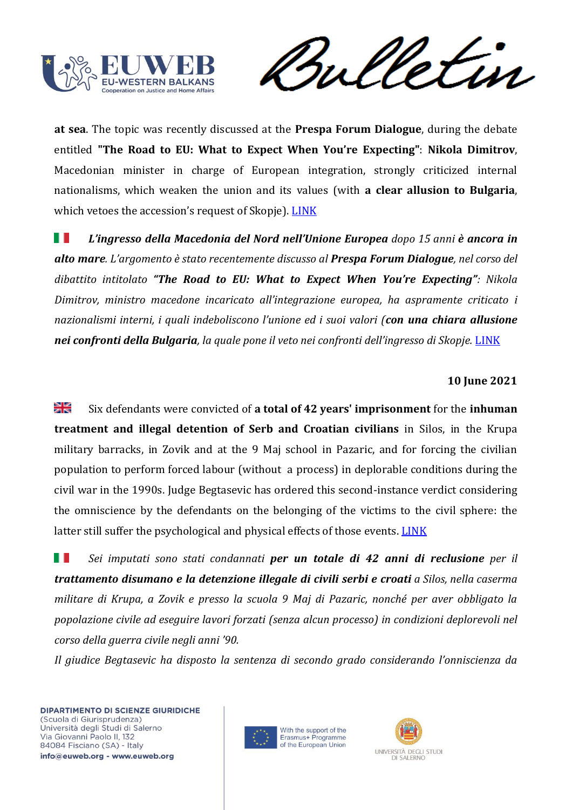

meletin

**at sea**. The topic was recently discussed at the **Prespa Forum Dialogue**, during the debate entitled **"The Road to EU: What to Expect When You're Expecting"**: **Nikola Dimitrov**, Macedonian minister in charge of European integration, strongly criticized internal nationalisms, which weaken the union and its values (with **a clear allusion to Bulgaria**, which vetoes the accession's request of Skopje). [LINK](https://europeanwesternbalkans.com/2021/07/01/lack-of-eus-decision-on-north-macedonia-weakens-the-proponents-of-enlargement-in-the-region/)

H. *L'ingresso della Macedonia del Nord nell'Unione Europea dopo 15 anni è ancora in alto mare. L'argomento è stato recentemente discusso al Prespa Forum Dialogue, nel corso del dibattito intitolato "The Road to EU: What to Expect When You're Expecting": Nikola Dimitrov, ministro macedone incaricato all'integrazione europea, ha aspramente criticato i nazionalismi interni, i quali indeboliscono l'unione ed i suoi valori (con una chiara allusione nei confronti della Bulgaria, la quale pone il veto nei confronti dell'ingresso di Skopje.* [LINK](https://europeanwesternbalkans.com/2021/07/01/lack-of-eus-decision-on-north-macedonia-weakens-the-proponents-of-enlargement-in-the-region/)

# **10 June 2021**

≱ছ Six defendants were convicted of **a total of 42 years' imprisonment** for the **inhuman treatment and illegal detention of Serb and Croatian civilians** in Silos, in the Krupa military barracks, in Zovik and at the 9 Maj school in Pazaric, and for forcing the civilian population to perform forced labour (without a process) in deplorable conditions during the civil war in the 1990s. Judge Begtasevic has ordered this second-instance verdict considering the omniscience by the defendants on the belonging of the victims to the civil sphere: the latter still suffer the psychological and physical effects of those events. [LINK](https://balkaninsight.com/2021/06/10/silos-forty-two-years-for-crimes-in-hadzici-area/)

H H *Sei imputati sono stati condannati per un totale di 42 anni di reclusione per il trattamento disumano e la detenzione illegale di civili serbi e croati a Silos, nella caserma militare di Krupa, a Zovik e presso la scuola 9 Maj di Pazaric, nonché per aver obbligato la popolazione civile ad eseguire lavori forzati (senza alcun processo) in condizioni deplorevoli nel corso della guerra civile negli anni '90.*

*Il giudice Begtasevic ha disposto la sentenza di secondo grado considerando l'onniscienza da* 



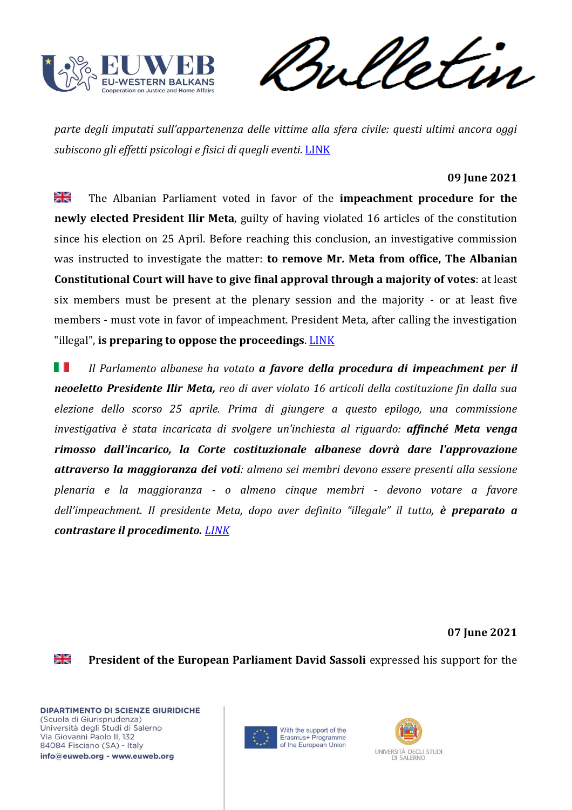

Vetin rul

*parte degli imputati sull'appartenenza delle vittime alla sfera civile: questi ultimi ancora oggi subiscono gli effetti psicologi e fisici di quegli eventi.* [LINK](https://balkaninsight.com/2021/06/10/silos-forty-two-years-for-crimes-in-hadzici-area/)

## **09 June 2021**

꾉 The Albanian Parliament voted in favor of the **impeachment procedure for the newly elected President Ilir Meta**, guilty of having violated 16 articles of the constitution since his election on 25 April. Before reaching this conclusion, an investigative commission was instructed to investigate the matter: **to remove Mr. Meta from office, The Albanian Constitutional Court will have to give final approval through a majority of votes**: at least six members must be present at the plenary session and the majority - or at least five members - must vote in favor of impeachment. President Meta, after calling the investigation "illegal", **is preparing to oppose the proceedings**. [LINK](https://www.euronews.com/2021/06/09/albanian-mps-have-just-voted-to-impeach-their-president-here-s-why)

H I *Il Parlamento albanese ha votato a favore della procedura di impeachment per il neoeletto Presidente Ilir Meta, reo di aver violato 16 articoli della costituzione fin dalla sua elezione dello scorso 25 aprile. Prima di giungere a questo epilogo, una commissione investigativa è stata incaricata di svolgere un'inchiesta al riguardo: affinché Meta venga rimosso dall'incarico, la Corte costituzionale albanese dovrà dare l'approvazione attraverso la maggioranza dei voti: almeno sei membri devono essere presenti alla sessione plenaria e la maggioranza - o almeno cinque membri - devono votare a favore dell'impeachment. Il presidente Meta, dopo aver definito "illegale" il tutto, è preparato a contrastare il procedimento. [LINK](https://www.euronews.com/2021/06/09/albanian-mps-have-just-voted-to-impeach-their-president-here-s-why)*

**07 June 2021**

≱ছ

**President of the European Parliament David Sassoli** expressed his support for the



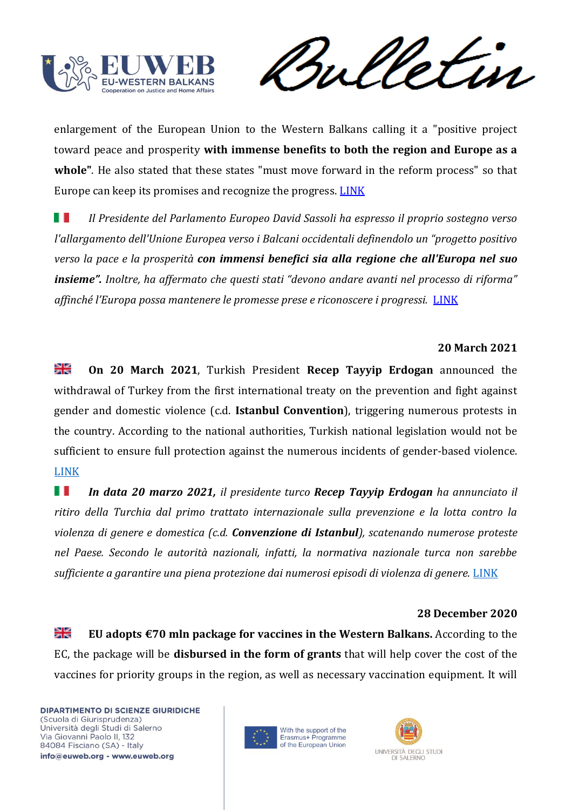

rul etin

enlargement of the European Union to the Western Balkans calling it a "positive project toward peace and prosperity **with immense benefits to both the region and Europe as a whole"**. He also stated that these states "must move forward in the reform process" so that Europe can keep its promises and recognize the progress. [LINK](https://europeanwesternbalkans.com/2021/06/07/sassoli-enlargement-is-a-positive-project-for-peace-and-prosperity/)

H H *Il Presidente del Parlamento Europeo David Sassoli ha espresso il proprio sostegno verso l'allargamento dell'Unione Europea verso i Balcani occidentali definendolo un "progetto positivo verso la pace e la prosperità con immensi benefici sia alla regione che all'Europa nel suo insieme". Inoltre, ha affermato che questi stati "devono andare avanti nel processo di riforma" affinché l'Europa possa mantenere le promesse prese e riconoscere i progressi.* [LINK](https://europeanwesternbalkans.com/2021/06/07/sassoli-enlargement-is-a-positive-project-for-peace-and-prosperity/)

## **20 March 2021**

≱ছ **On 20 March 2021**, Turkish President **Recep Tayyip Erdogan** announced the withdrawal of Turkey from the first international treaty on the prevention and fight against gender and domestic violence (c.d. **Istanbul Convention**), triggering numerous protests in the country. According to the national authorities, Turkish national legislation would not be sufficient to ensure full protection against the numerous incidents of gender-based violence. [LINK](https://www.treccani.it/magazine/atlante/geopolitica/Turchia_esce_convenzione_Istanbul.html)

 *In data 20 marzo 2021, il presidente turco Recep Tayyip Erdogan ha annunciato il ritiro della Turchia dal primo trattato internazionale sulla prevenzione e la lotta contro la violenza di genere e domestica (c.d. Convenzione di Istanbul), scatenando numerose proteste nel Paese. Secondo le autorità nazionali, infatti, la normativa nazionale turca non sarebbe sufficiente a garantire una piena protezione dai numerosi episodi di violenza di genere.* [LINK](https://www.treccani.it/magazine/atlante/geopolitica/Turchia_esce_convenzione_Istanbul.html)

### **28 December 2020**

≱≼ **EU adopts €70 mln package for vaccines in the Western Balkans.** According to the EC, the package will be **disbursed in the form of grants** that will help cover the cost of the vaccines for priority groups in the region, as well as necessary vaccination equipment. It will



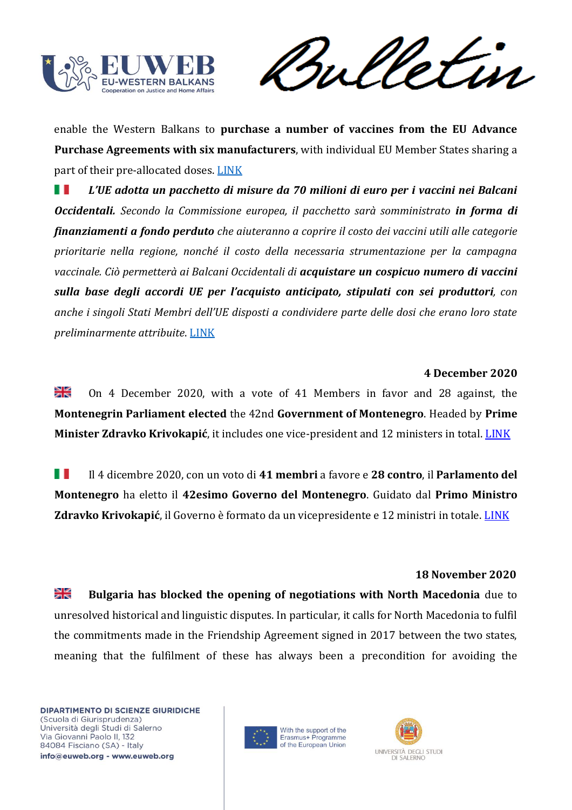

enable the Western Balkans to **purchase a number of vaccines from the EU Advance Purchase Agreements with six manufacturers**, with individual EU Member States sharing a part of their pre-allocated doses. [LINK](https://ec.europa.eu/commission/presscorner/detail/en/ip_20_2539) 

w *L'UE adotta un pacchetto di misure da 70 milioni di euro per i vaccini nei Balcani Occidentali. Secondo la Commissione europea, il pacchetto sarà somministrato in forma di finanziamenti a fondo perduto che aiuteranno a coprire il costo dei vaccini utili alle categorie prioritarie nella regione, nonché il costo della necessaria strumentazione per la campagna vaccinale. Ciò permetterà ai Balcani Occidentali di acquistare un cospicuo numero di vaccini sulla base degli accordi UE per l'acquisto anticipato, stipulati con sei produttori, con anche i singoli Stati Membri dell'UE disposti a condividere parte delle dosi che erano loro state preliminarmente attribuite*. [LINK](https://ec.europa.eu/commission/presscorner/detail/en/ip_20_2539) 

### **4 December 2020**

≱≼ On 4 December 2020, with a vote of 41 Members in favor and 28 against, the **Montenegrin Parliament elected** the 42nd **Government of Montenegro**. Headed by **Prime Minister Zdravko Krivokapić**, it includes one vice-president and 12 ministers in total[. LINK](LINK) 

w Il 4 dicembre 2020, con un voto di **41 membri** a favore e **28 contro**, il **Parlamento del Montenegro** ha eletto il **42esimo Governo del Montenegro**. Guidato dal **Primo Ministro Zdravko Krivokapić**, il Governo è formato da un vicepresidente e 12 ministri in totale. [LINK](https://www.gov.me/en/News/236848/The-42nd-Government-of-Montenegro-elected.html)

### **18 November 2020**

≱≼ **Bulgaria has blocked the opening of negotiations with North Macedonia** due to unresolved historical and linguistic disputes. In particular, it calls for North Macedonia to fulfil the commitments made in the Friendship Agreement signed in 2017 between the two states, meaning that the fulfilment of these has always been a precondition for avoiding the



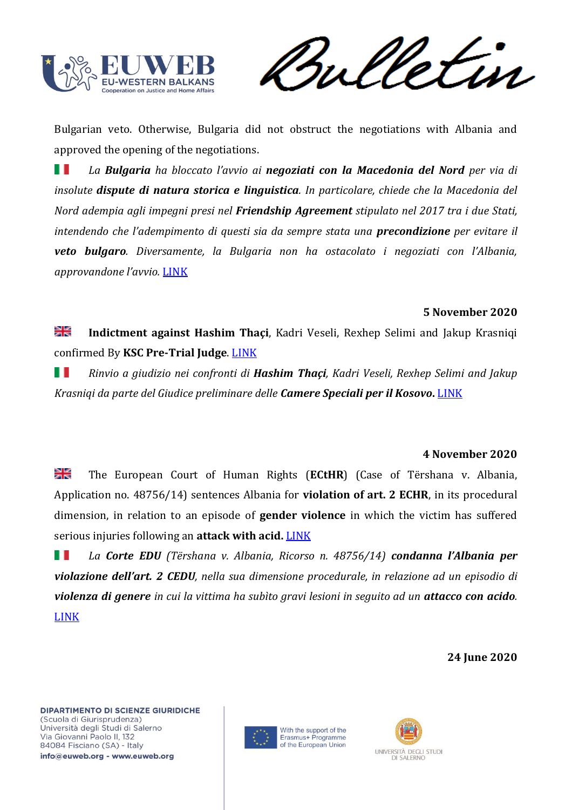

etin

Bulgarian veto. Otherwise, Bulgaria did not obstruct the negotiations with Albania and approved the opening of the negotiations.

H I *La Bulgaria ha bloccato l'avvio ai negoziati con la Macedonia del Nord per via di insolute dispute di natura storica e linguistica. In particolare, chiede che la Macedonia del Nord adempia agli impegni presi nel Friendship Agreement stipulato nel 2017 tra i due Stati, intendendo che l'adempimento di questi sia da sempre stata una precondizione per evitare il veto bulgaro. Diversamente, la Bulgaria non ha ostacolato i negoziati con l'Albania, approvandone l'avvio.* [LINK](https://europeanwesternbalkans.com/2020/11/18/bulgaria-blocks-eu-membership-talks-for-north-macedonia/)

## **5 November 2020**

≱≼ **Indictment against Hashim Thaçi**, Kadri Veseli, Rexhep Selimi and Jakup Krasniqi confirmed By **KSC Pre-Trial Judge**. [LINK](https://www.scp-ks.org/en/indictment-against-hashim-thaci-kadri-veseli-rexhep-selimi-and-jakup-krasniqi-confirmed-ksc-pre)

H *Rinvio a giudizio nei confronti di Hashim Thaçi, Kadri Veseli, Rexhep Selimi and Jakup Krasniqi da parte del Giudice preliminare delle Camere Speciali per il Kosovo***.** [LINK](https://www.scp-ks.org/en/indictment-against-hashim-thaci-kadri-veseli-rexhep-selimi-and-jakup-krasniqi-confirmed-ksc-pre)

### **4 November 2020**

≱≼ The European Court of Human Rights (**ECtHR**) (Case of Tërshana v. Albania, Application no. 48756/14) sentences Albania for **violation of art. 2 ECHR**, in its procedural dimension, in relation to an episode of **gender violence** in which the victim has suffered serious injuries following an **attack with acid.** [LINK](https://hudoc.echr.coe.int/eng#{%22appno%22:[%2248756/14%22],%22itemid%22:[%22001-203825%22]})

1 D *La Corte EDU (Tërshana v. Albania, Ricorso n. 48756/14) condanna l'Albania per violazione dell'art. 2 CEDU, nella sua dimensione procedurale, in relazione ad un episodio di violenza di genere in cui la vittima ha subìto gravi lesioni in seguito ad un attacco con acido.* [LINK](https://hudoc.echr.coe.int/eng#{%22appno%22:[%2248756/14%22],%22itemid%22:[%22001-203825%22]})

### **24 June 2020**